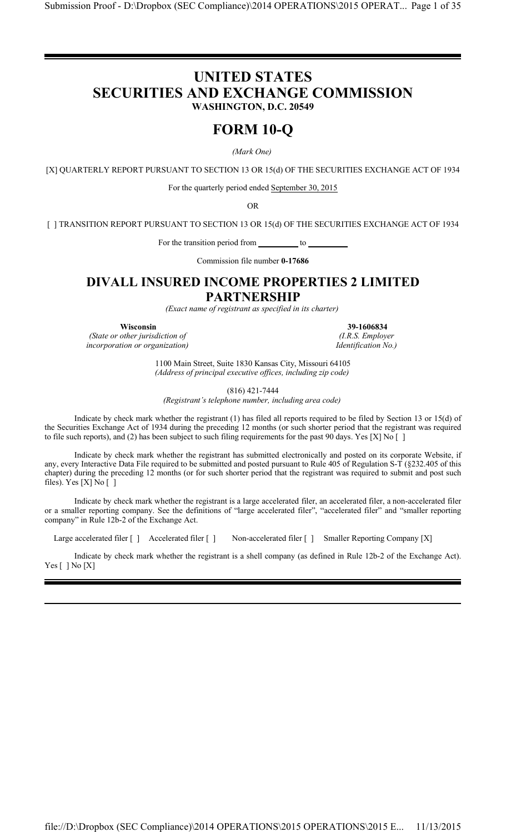# **UNITED STATES SECURITIES AND EXCHANGE COMMISSION WASHINGTON, D.C. 20549**

# **FORM 10-Q**

*(Mark One)*

[X] QUARTERLY REPORT PURSUANT TO SECTION 13 OR 15(d) OF THE SECURITIES EXCHANGE ACT OF 1934

For the quarterly period ended September 30, 2015

OR

[ ] TRANSITION REPORT PURSUANT TO SECTION 13 OR 15(d) OF THE SECURITIES EXCHANGE ACT OF 1934

For the transition period from \_\_\_\_\_\_\_\_\_ to \_

Commission file number **0-17686**

# **DIVALL INSURED INCOME PROPERTIES 2 LIMITED**

# **PARTNERSHIP**

*(Exact name of registrant as specified in its charter)*

*(State or other jurisdiction of incorporation or organization) Identification No.)*

**Wisconsin**<br> **39-1606834**<br> **39-1606834**<br> **39-1606834**<br> *A.R.S. Employer* 

1100 Main Street, Suite 1830 Kansas City, Missouri 64105 *(Address of principal executive offices, including zip code)*

(816) 421-7444

*(Registrant's telephone number, including area code)*

Indicate by check mark whether the registrant (1) has filed all reports required to be filed by Section 13 or 15(d) of the Securities Exchange Act of 1934 during the preceding 12 months (or such shorter period that the registrant was required to file such reports), and (2) has been subject to such filing requirements for the past 90 days. Yes [X] No []

Indicate by check mark whether the registrant has submitted electronically and posted on its corporate Website, if any, every Interactive Data File required to be submitted and posted pursuant to Rule 405 of Regulation S-T (§232.405 of this chapter) during the preceding 12 months (or for such shorter period that the registrant was required to submit and post such files). Yes  $[X]$  No  $[$   $]$ 

Indicate by check mark whether the registrant is a large accelerated filer, an accelerated filer, a non-accelerated filer or a smaller reporting company. See the definitions of "large accelerated filer", "accelerated filer" and "smaller reporting company" in Rule 12b-2 of the Exchange Act.

Large accelerated filer [ ] Accelerated filer [ ] Non-accelerated filer [ ] Smaller Reporting Company [X]

Indicate by check mark whether the registrant is a shell company (as defined in Rule 12b-2 of the Exchange Act). Yes [ ] No [X]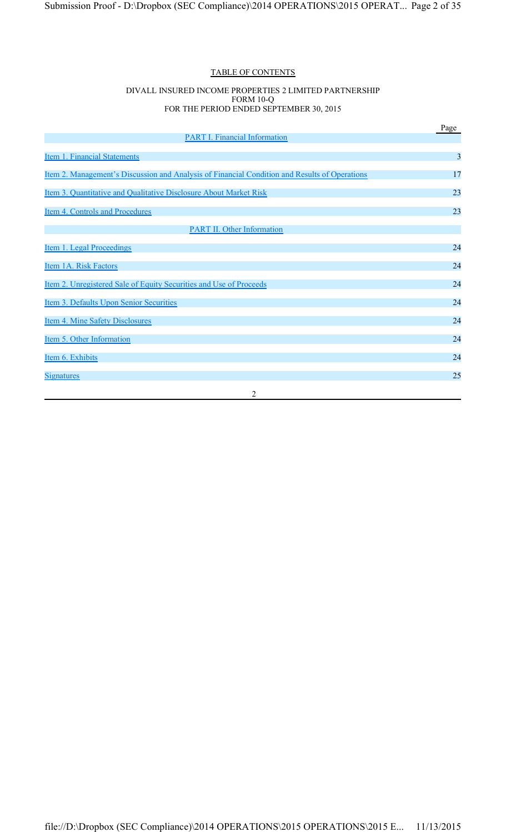# TABLE OF CONTENTS

#### DIVALL INSURED INCOME PROPERTIES 2 LIMITED PARTNERSHIP FORM 10-Q FOR THE PERIOD ENDED SEPTEMBER 30, 2015

|                                                                                               | Page |
|-----------------------------------------------------------------------------------------------|------|
| <b>PART I. Financial Information</b>                                                          |      |
| Item 1. Financial Statements                                                                  | 3    |
| Item 2. Management's Discussion and Analysis of Financial Condition and Results of Operations | 17   |
| Item 3. Quantitative and Qualitative Disclosure About Market Risk                             | 23   |
| Item 4. Controls and Procedures                                                               | 23   |
| <b>PART II. Other Information</b>                                                             |      |
| Item 1. Legal Proceedings                                                                     | 24   |
| Item 1A. Risk Factors                                                                         | 24   |
| Item 2. Unregistered Sale of Equity Securities and Use of Proceeds                            | 24   |
| Item 3. Defaults Upon Senior Securities                                                       | 24   |
| Item 4. Mine Safety Disclosures                                                               | 24   |
| Item 5. Other Information                                                                     | 24   |
| Item 6. Exhibits                                                                              | 24   |
| <b>Signatures</b>                                                                             | 25   |
| 2                                                                                             |      |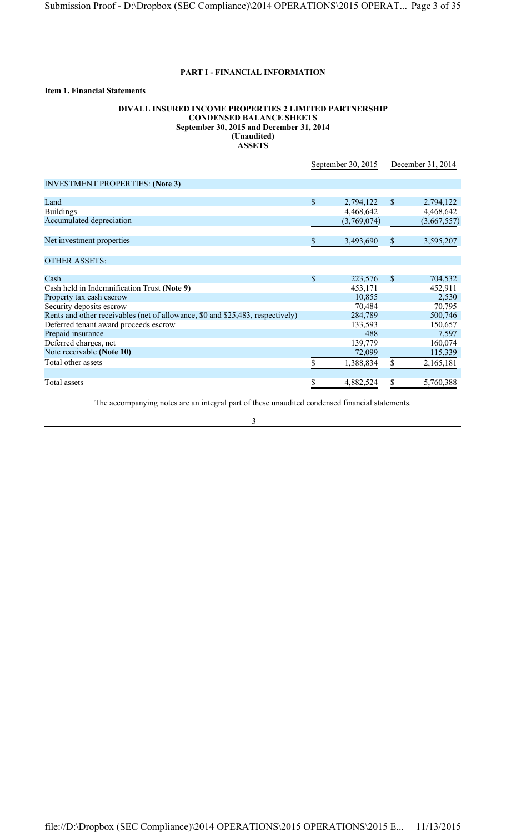# **PART I - FINANCIAL INFORMATION**

# **Item 1. Financial Statements**

#### **DIVALL INSURED INCOME PROPERTIES 2 LIMITED PARTNERSHIP CONDENSED BALANCE SHEETS September 30, 2015 and December 31, 2014 (Unaudited) ASSETS**

|                                                                                | September 30, 2015 |             |      | December 31, 2014 |
|--------------------------------------------------------------------------------|--------------------|-------------|------|-------------------|
| <b>INVESTMENT PROPERTIES: (Note 3)</b>                                         |                    |             |      |                   |
|                                                                                |                    |             |      |                   |
| Land                                                                           | $\mathbb{S}$       | 2,794,122   | \$   | 2,794,122         |
| <b>Buildings</b>                                                               |                    | 4,468,642   |      | 4,468,642         |
| Accumulated depreciation                                                       |                    | (3,769,074) |      | (3,667,557)       |
| Net investment properties                                                      | \$                 | 3,493,690   | $\$$ | 3,595,207         |
| <b>OTHER ASSETS:</b>                                                           |                    |             |      |                   |
| Cash                                                                           | \$                 | 223,576     | \$   | 704,532           |
| Cash held in Indemnification Trust (Note 9)                                    |                    | 453,171     |      | 452,911           |
| Property tax cash escrow                                                       |                    | 10,855      |      | 2,530             |
| Security deposits escrow                                                       |                    | 70,484      |      | 70,795            |
| Rents and other receivables (net of allowance, \$0 and \$25,483, respectively) |                    | 284,789     |      | 500,746           |
| Deferred tenant award proceeds escrow                                          |                    | 133,593     |      | 150,657           |
| Prepaid insurance                                                              |                    | 488         |      | 7,597             |
| Deferred charges, net                                                          |                    | 139,779     |      | 160,074           |
| Note receivable (Note 10)                                                      |                    | 72,099      |      | 115,339           |
| Total other assets                                                             | \$                 | 1,388,834   | \$   | 2,165,181         |
|                                                                                |                    |             |      |                   |
| Total assets                                                                   | \$                 | 4,882,524   | \$   | 5,760,388         |

The accompanying notes are an integral part of these unaudited condensed financial statements.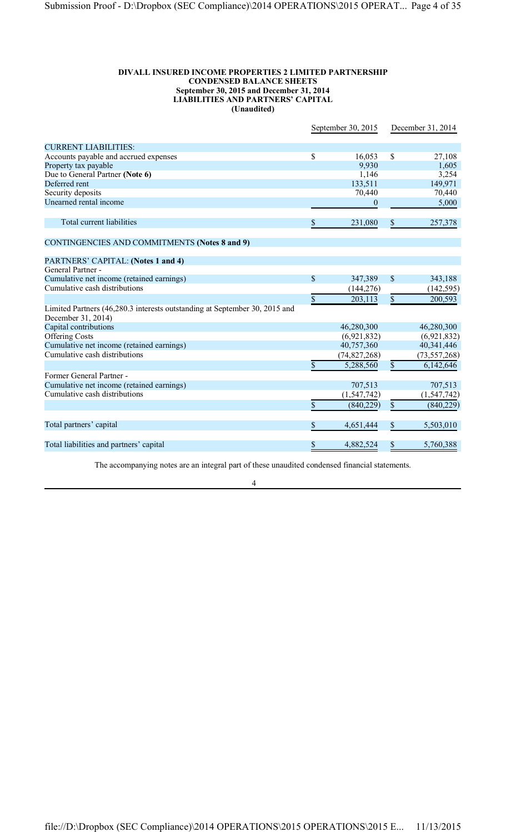#### **DIVALL INSURED INCOME PROPERTIES 2 LIMITED PARTNERSHIP CONDENSED BALANCE SHEETS September 30, 2015 and December 31, 2014 LIABILITIES AND PARTNERS' CAPITAL (Unaudited)**

|                                                                                                  |                 | September 30, 2015 | December 31, 2014 |                |
|--------------------------------------------------------------------------------------------------|-----------------|--------------------|-------------------|----------------|
| <b>CURRENT LIABILITIES:</b>                                                                      |                 |                    |                   |                |
| Accounts payable and accrued expenses                                                            | \$              | 16,053             | \$                | 27,108         |
| Property tax payable                                                                             |                 | 9,930              |                   | 1,605          |
| Due to General Partner (Note 6)                                                                  |                 | 1,146              |                   | 3,254          |
| Deferred rent                                                                                    |                 | 133,511            |                   | 149,971        |
| Security deposits                                                                                |                 | 70,440             |                   | 70,440         |
| Unearned rental income                                                                           |                 | $\boldsymbol{0}$   |                   | 5,000          |
| Total current liabilities                                                                        | \$              | 231,080            | \$                | 257,378        |
| <b>CONTINGENCIES AND COMMITMENTS (Notes 8 and 9)</b>                                             |                 |                    |                   |                |
| PARTNERS' CAPITAL: (Notes 1 and 4)                                                               |                 |                    |                   |                |
| General Partner -                                                                                |                 |                    |                   |                |
| Cumulative net income (retained earnings)                                                        | \$              | 347,389            | \$                | 343,188        |
| Cumulative cash distributions                                                                    |                 | (144, 276)         |                   | (142, 595)     |
|                                                                                                  | $\overline{\$}$ | 203,113            | $\overline{\$}$   | 200,593        |
| Limited Partners (46,280.3 interests outstanding at September 30, 2015 and<br>December 31, 2014) |                 |                    |                   |                |
| Capital contributions                                                                            |                 | 46,280,300         |                   | 46,280,300     |
| <b>Offering Costs</b>                                                                            |                 | (6,921,832)        |                   | (6,921,832)    |
| Cumulative net income (retained earnings)                                                        |                 | 40,757,360         |                   | 40,341,446     |
| Cumulative cash distributions                                                                    |                 | (74, 827, 268)     |                   | (73, 557, 268) |
|                                                                                                  | \$              | 5,288,560          | $\overline{\$}$   | 6,142,646      |
| Former General Partner -                                                                         |                 |                    |                   |                |
| Cumulative net income (retained earnings)                                                        |                 | 707,513            |                   | 707,513        |
| Cumulative cash distributions                                                                    |                 | (1, 547, 742)      |                   | (1, 547, 742)  |
|                                                                                                  | \$              | (840, 229)         | $\overline{\$}$   | (840, 229)     |
| Total partners' capital                                                                          | \$              | 4,651,444          | \$                | 5,503,010      |
| Total liabilities and partners' capital                                                          | \$              | 4,882,524          | \$                | 5,760,388      |
|                                                                                                  |                 |                    |                   |                |

The accompanying notes are an integral part of these unaudited condensed financial statements.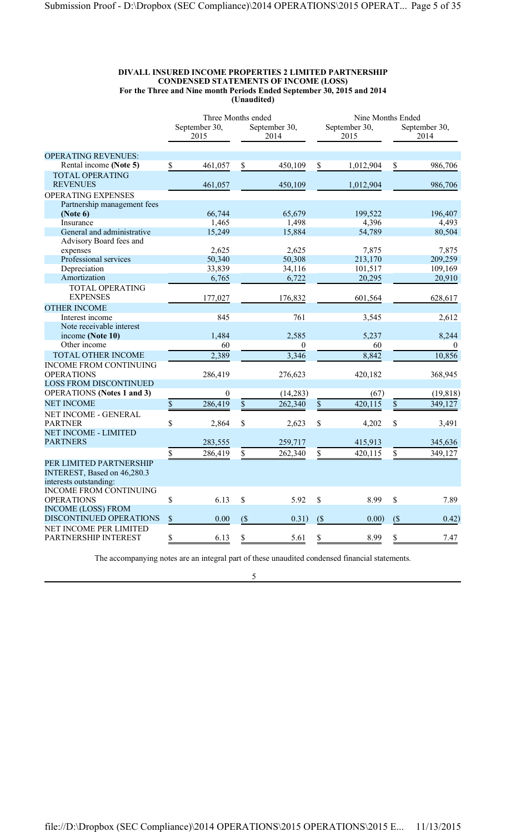#### **DIVALL INSURED INCOME PROPERTIES 2 LIMITED PARTNERSHIP CONDENSED STATEMENTS OF INCOME (LOSS) For the Three and Nine month Periods Ended September 30, 2015 and 2014 (Unaudited)**

|                                   |                       | Three Months ended |                       |                  | Nine Months Ended     |           |                       |           |
|-----------------------------------|-----------------------|--------------------|-----------------------|------------------|-----------------------|-----------|-----------------------|-----------|
|                                   | September 30,<br>2015 |                    | September 30,<br>2014 |                  | September 30,<br>2015 |           | September 30,<br>2014 |           |
| <b>OPERATING REVENUES:</b>        |                       |                    |                       |                  |                       |           |                       |           |
| Rental income (Note 5)            | \$                    | 461,057            | \$                    | 450,109          | \$                    | 1,012,904 | \$                    | 986,706   |
| <b>TOTAL OPERATING</b>            |                       |                    |                       |                  |                       |           |                       |           |
| <b>REVENUES</b>                   |                       | 461,057            |                       | 450,109          |                       | 1,012,904 |                       | 986,706   |
| OPERATING EXPENSES                |                       |                    |                       |                  |                       |           |                       |           |
| Partnership management fees       |                       |                    |                       |                  |                       |           |                       |           |
| (Note 6)                          |                       | 66,744             |                       | 65,679           |                       | 199,522   |                       | 196,407   |
| Insurance                         |                       | 1,465              |                       | 1,498            |                       | 4,396     |                       | 4,493     |
| General and administrative        |                       | 15,249             |                       | 15,884           |                       | 54,789    |                       | 80,504    |
| Advisory Board fees and           |                       |                    |                       |                  |                       |           |                       |           |
| expenses                          |                       | 2,625              |                       | 2,625            |                       | 7,875     |                       | 7,875     |
| Professional services             |                       | 50,340             |                       | 50,308           |                       | 213,170   |                       | 209,259   |
| Depreciation                      |                       | 33,839             |                       | 34,116           |                       | 101,517   |                       | 109,169   |
| Amortization                      |                       | 6,765              |                       | 6,722            |                       | 20,295    |                       | 20,910    |
| TOTAL OPERATING                   |                       |                    |                       |                  |                       |           |                       |           |
| <b>EXPENSES</b>                   |                       | 177,027            |                       | 176,832          |                       | 601,564   |                       | 628,617   |
| <b>OTHER INCOME</b>               |                       |                    |                       |                  |                       |           |                       |           |
| Interest income                   |                       | 845                |                       | 761              |                       | 3,545     |                       | 2,612     |
| Note receivable interest          |                       |                    |                       |                  |                       |           |                       |           |
| income (Note 10)                  |                       | 1,484              |                       | 2,585            |                       | 5,237     |                       | 8,244     |
| Other income                      |                       | 60                 |                       | $\boldsymbol{0}$ |                       | 60        |                       | $\theta$  |
| TOTAL OTHER INCOME                |                       | 2,389              |                       | 3,346            |                       | 8,842     |                       | 10,856    |
| <b>INCOME FROM CONTINUING</b>     |                       |                    |                       |                  |                       |           |                       |           |
| <b>OPERATIONS</b>                 |                       | 286,419            |                       | 276,623          |                       | 420,182   |                       | 368,945   |
| <b>LOSS FROM DISCONTINUED</b>     |                       |                    |                       |                  |                       |           |                       |           |
| <b>OPERATIONS</b> (Notes 1 and 3) |                       | $\boldsymbol{0}$   |                       | (14,283)         |                       | (67)      |                       | (19, 818) |
| <b>NET INCOME</b>                 | $\mathbb S$           | 286,419            | $\overline{\$}$       | 262,340          | $\mathsf{\$}$         | 420,115   | $\overline{\$}$       | 349,127   |
| NET INCOME - GENERAL              |                       |                    |                       |                  |                       |           |                       |           |
| <b>PARTNER</b>                    | \$                    | 2,864              | \$                    | 2,623            | \$                    | 4,202     | \$                    | 3,491     |
| <b>NET INCOME - LIMITED</b>       |                       |                    |                       |                  |                       |           |                       |           |
| <b>PARTNERS</b>                   |                       | 283,555            |                       | 259,717          |                       | 415,913   |                       | 345,636   |
|                                   | \$                    | 286,419            | \$                    | 262,340          | \$                    | 420,115   | \$                    | 349,127   |
| PER LIMITED PARTNERSHIP           |                       |                    |                       |                  |                       |           |                       |           |
| INTEREST, Based on 46,280.3       |                       |                    |                       |                  |                       |           |                       |           |
| interests outstanding:            |                       |                    |                       |                  |                       |           |                       |           |
| <b>INCOME FROM CONTINUING</b>     |                       |                    |                       |                  |                       |           |                       |           |
| <b>OPERATIONS</b>                 | $\mathbb S$           | 6.13               | $\$$                  | 5.92             | \$                    | 8.99      | $\mathbb S$           | 7.89      |
| <b>INCOME (LOSS) FROM</b>         |                       |                    |                       |                  |                       |           |                       |           |
| DISCONTINUED OPERATIONS           | \$                    | 0.00               | $($ \$                | 0.31)            | (S)                   | 0.00)     | $($ \$                | 0.42)     |
| NET INCOME PER LIMITED            |                       |                    |                       |                  |                       |           |                       |           |
| PARTNERSHIP INTEREST              | \$                    | 6.13               | \$                    | 5.61             | \$                    | 8.99      | \$                    | 7.47      |

The accompanying notes are an integral part of these unaudited condensed financial statements.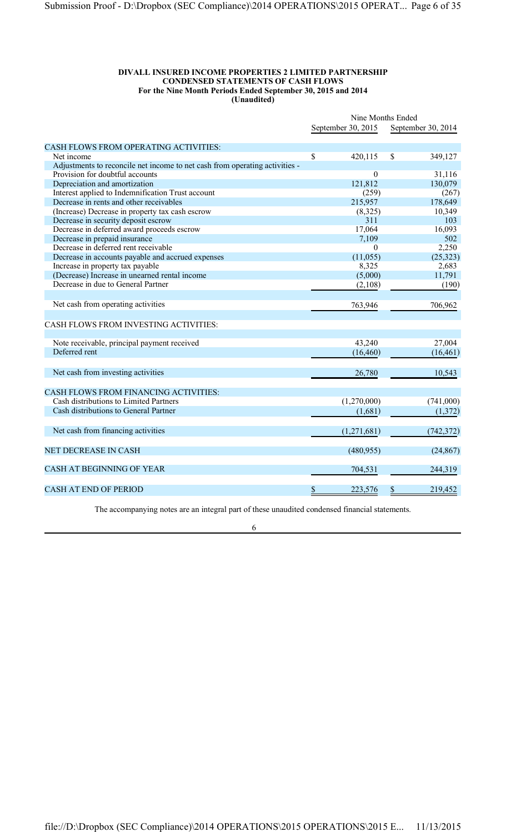#### **DIVALL INSURED INCOME PROPERTIES 2 LIMITED PARTNERSHIP CONDENSED STATEMENTS OF CASH FLOWS For the Nine Month Periods Ended September 30, 2015 and 2014 (Unaudited)**

|                                                                                                                | Nine Months Ended |                    |    |                    |
|----------------------------------------------------------------------------------------------------------------|-------------------|--------------------|----|--------------------|
|                                                                                                                |                   | September 30, 2015 |    | September 30, 2014 |
|                                                                                                                |                   |                    |    |                    |
| CASH FLOWS FROM OPERATING ACTIVITIES:<br>Net income                                                            | \$                | 420,115            | \$ |                    |
|                                                                                                                |                   |                    |    | 349,127            |
| Adjustments to reconcile net income to net cash from operating activities -<br>Provision for doubtful accounts |                   | $\mathbf{0}$       |    | 31,116             |
| Depreciation and amortization                                                                                  |                   | 121,812            |    | 130,079            |
| Interest applied to Indemnification Trust account                                                              |                   | (259)              |    | (267)              |
| Decrease in rents and other receivables                                                                        |                   | 215,957            |    | 178,649            |
| (Increase) Decrease in property tax cash escrow                                                                |                   | (8,325)            |    | 10,349             |
| Decrease in security deposit escrow                                                                            |                   | 311                |    | 103                |
| Decrease in deferred award proceeds escrow                                                                     |                   | 17,064             |    | 16,093             |
| Decrease in prepaid insurance                                                                                  |                   | 7,109              |    | 502                |
| Decrease in deferred rent receivable                                                                           |                   | $\theta$           |    | 2,250              |
| Decrease in accounts payable and accrued expenses                                                              |                   | (11,055)           |    | (25, 323)          |
| Increase in property tax payable                                                                               |                   | 8,325              |    | 2,683              |
| (Decrease) Increase in unearned rental income                                                                  |                   | (5,000)            |    | 11,791             |
| Decrease in due to General Partner                                                                             |                   | (2,108)            |    | (190)              |
|                                                                                                                |                   |                    |    |                    |
|                                                                                                                |                   |                    |    |                    |
| Net cash from operating activities                                                                             |                   | 763,946            |    | 706,962            |
| CASH FLOWS FROM INVESTING ACTIVITIES:                                                                          |                   |                    |    |                    |
|                                                                                                                |                   |                    |    |                    |
| Note receivable, principal payment received                                                                    |                   | 43,240             |    | 27,004             |
| Deferred rent                                                                                                  |                   | (16, 460)          |    | (16, 461)          |
|                                                                                                                |                   |                    |    |                    |
| Net cash from investing activities                                                                             |                   | 26,780             |    | 10,543             |
|                                                                                                                |                   |                    |    |                    |
| CASH FLOWS FROM FINANCING ACTIVITIES:                                                                          |                   |                    |    |                    |
| Cash distributions to Limited Partners                                                                         |                   | (1,270,000)        |    | (741,000)          |
| Cash distributions to General Partner                                                                          |                   | (1,681)            |    | (1,372)            |
|                                                                                                                |                   |                    |    |                    |
| Net cash from financing activities                                                                             |                   | (1,271,681)        |    | (742, 372)         |
|                                                                                                                |                   |                    |    |                    |
| <b>NET DECREASE IN CASH</b>                                                                                    |                   | (480,955)          |    | (24, 867)          |
|                                                                                                                |                   |                    |    |                    |
| CASH AT BEGINNING OF YEAR                                                                                      |                   | 704,531            |    | 244,319            |
|                                                                                                                |                   |                    |    |                    |
| <b>CASH AT END OF PERIOD</b>                                                                                   | \$                | 223,576            | \$ | 219,452            |

The accompanying notes are an integral part of these unaudited condensed financial statements.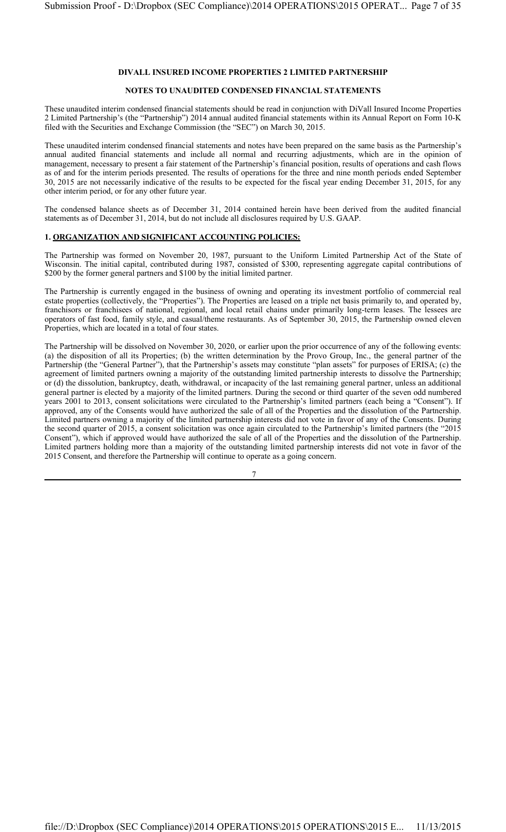#### **DIVALL INSURED INCOME PROPERTIES 2 LIMITED PARTNERSHIP**

### **NOTES TO UNAUDITED CONDENSED FINANCIAL STATEMENTS**

These unaudited interim condensed financial statements should be read in conjunction with DiVall Insured Income Properties 2 Limited Partnership's (the "Partnership") 2014 annual audited financial statements within its Annual Report on Form 10-K filed with the Securities and Exchange Commission (the "SEC") on March 30, 2015.

These unaudited interim condensed financial statements and notes have been prepared on the same basis as the Partnership's annual audited financial statements and include all normal and recurring adjustments, which are in the opinion of management, necessary to present a fair statement of the Partnership's financial position, results of operations and cash flows as of and for the interim periods presented. The results of operations for the three and nine month periods ended September 30, 2015 are not necessarily indicative of the results to be expected for the fiscal year ending December 31, 2015, for any other interim period, or for any other future year.

The condensed balance sheets as of December 31, 2014 contained herein have been derived from the audited financial statements as of December 31, 2014, but do not include all disclosures required by U.S. GAAP.

# **1. ORGANIZATION AND SIGNIFICANT ACCOUNTING POLICIES:**

The Partnership was formed on November 20, 1987, pursuant to the Uniform Limited Partnership Act of the State of Wisconsin. The initial capital, contributed during 1987, consisted of \$300, representing aggregate capital contributions of \$200 by the former general partners and \$100 by the initial limited partner.

The Partnership is currently engaged in the business of owning and operating its investment portfolio of commercial real estate properties (collectively, the "Properties"). The Properties are leased on a triple net basis primarily to, and operated by, franchisors or franchisees of national, regional, and local retail chains under primarily long-term leases. The lessees are operators of fast food, family style, and casual/theme restaurants. As of September 30, 2015, the Partnership owned eleven Properties, which are located in a total of four states.

The Partnership will be dissolved on November 30, 2020, or earlier upon the prior occurrence of any of the following events: (a) the disposition of all its Properties; (b) the written determination by the Provo Group, Inc., the general partner of the Partnership (the "General Partner"), that the Partnership's assets may constitute "plan assets" for purposes of ERISA; (c) the agreement of limited partners owning a majority of the outstanding limited partnership interests to dissolve the Partnership; or (d) the dissolution, bankruptcy, death, withdrawal, or incapacity of the last remaining general partner, unless an additional general partner is elected by a majority of the limited partners. During the second or third quarter of the seven odd numbered years 2001 to 2013, consent solicitations were circulated to the Partnership's limited partners (each being a "Consent"). If approved, any of the Consents would have authorized the sale of all of the Properties and the dissolution of the Partnership. Limited partners owning a majority of the limited partnership interests did not vote in favor of any of the Consents. During the second quarter of 2015, a consent solicitation was once again circulated to the Partnership's limited partners (the "2015 Consent"), which if approved would have authorized the sale of all of the Properties and the dissolution of the Partnership. Limited partners holding more than a majority of the outstanding limited partnership interests did not vote in favor of the 2015 Consent, and therefore the Partnership will continue to operate as a going concern.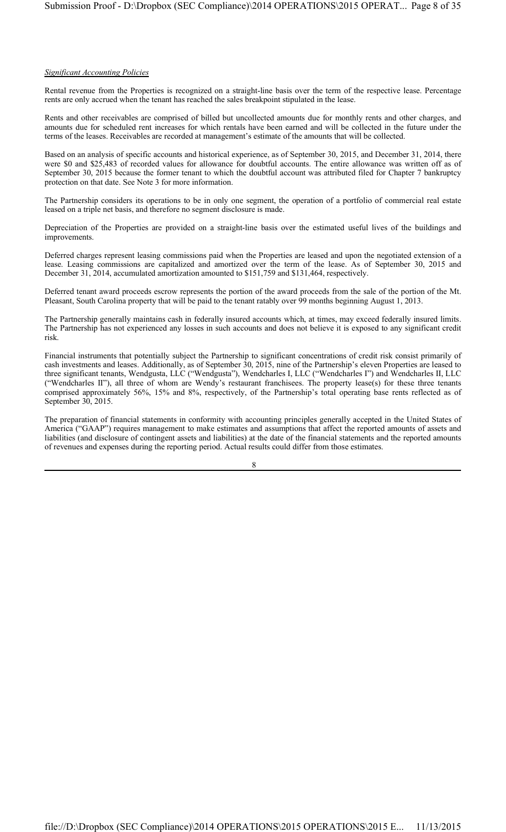#### *Significant Accounting Policies*

Rental revenue from the Properties is recognized on a straight-line basis over the term of the respective lease. Percentage rents are only accrued when the tenant has reached the sales breakpoint stipulated in the lease.

Rents and other receivables are comprised of billed but uncollected amounts due for monthly rents and other charges, and amounts due for scheduled rent increases for which rentals have been earned and will be collected in the future under the terms of the leases. Receivables are recorded at management's estimate of the amounts that will be collected.

Based on an analysis of specific accounts and historical experience, as of September 30, 2015, and December 31, 2014, there were \$0 and \$25,483 of recorded values for allowance for doubtful accounts. The entire allowance was written off as of September 30, 2015 because the former tenant to which the doubtful account was attributed filed for Chapter 7 bankruptcy protection on that date. See Note 3 for more information.

The Partnership considers its operations to be in only one segment, the operation of a portfolio of commercial real estate leased on a triple net basis, and therefore no segment disclosure is made.

Depreciation of the Properties are provided on a straight-line basis over the estimated useful lives of the buildings and improvements.

Deferred charges represent leasing commissions paid when the Properties are leased and upon the negotiated extension of a lease. Leasing commissions are capitalized and amortized over the term of the lease. As of September 30, 2015 and December 31, 2014, accumulated amortization amounted to \$151,759 and \$131,464, respectively.

Deferred tenant award proceeds escrow represents the portion of the award proceeds from the sale of the portion of the Mt. Pleasant, South Carolina property that will be paid to the tenant ratably over 99 months beginning August 1, 2013.

The Partnership generally maintains cash in federally insured accounts which, at times, may exceed federally insured limits. The Partnership has not experienced any losses in such accounts and does not believe it is exposed to any significant credit risk.

Financial instruments that potentially subject the Partnership to significant concentrations of credit risk consist primarily of cash investments and leases. Additionally, as of September 30, 2015, nine of the Partnership's eleven Properties are leased to three significant tenants, Wendgusta, LLC ("Wendgusta"), Wendcharles I, LLC ("Wendcharles I") and Wendcharles II, LLC ("Wendcharles II"), all three of whom are Wendy's restaurant franchisees. The property lease(s) for these three tenants comprised approximately 56%, 15% and 8%, respectively, of the Partnership's total operating base rents reflected as of September 30, 2015.

The preparation of financial statements in conformity with accounting principles generally accepted in the United States of America ("GAAP") requires management to make estimates and assumptions that affect the reported amounts of assets and liabilities (and disclosure of contingent assets and liabilities) at the date of the financial statements and the reported amounts of revenues and expenses during the reporting period. Actual results could differ from those estimates.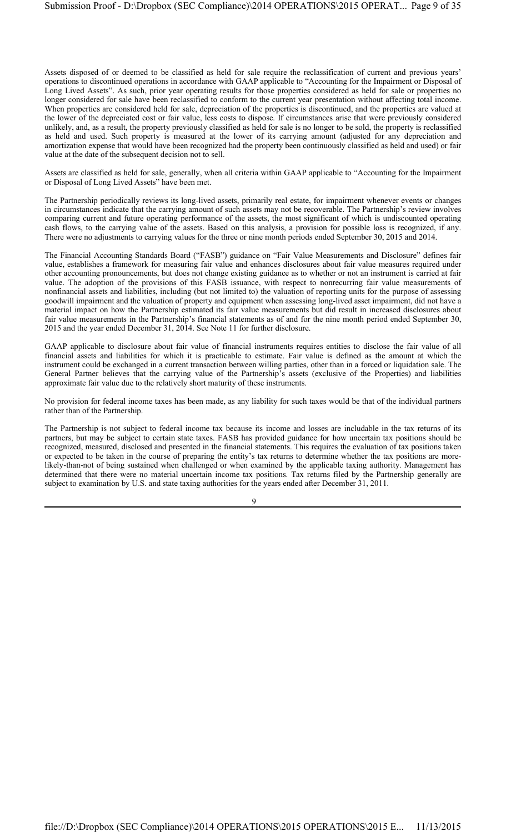Assets disposed of or deemed to be classified as held for sale require the reclassification of current and previous years' operations to discontinued operations in accordance with GAAP applicable to "Accounting for the Impairment or Disposal of Long Lived Assets". As such, prior year operating results for those properties considered as held for sale or properties no longer considered for sale have been reclassified to conform to the current year presentation without affecting total income. When properties are considered held for sale, depreciation of the properties is discontinued, and the properties are valued at the lower of the depreciated cost or fair value, less costs to dispose. If circumstances arise that were previously considered unlikely, and, as a result, the property previously classified as held for sale is no longer to be sold, the property is reclassified as held and used. Such property is measured at the lower of its carrying amount (adjusted for any depreciation and amortization expense that would have been recognized had the property been continuously classified as held and used) or fair value at the date of the subsequent decision not to sell.

Assets are classified as held for sale, generally, when all criteria within GAAP applicable to "Accounting for the Impairment or Disposal of Long Lived Assets" have been met.

The Partnership periodically reviews its long-lived assets, primarily real estate, for impairment whenever events or changes in circumstances indicate that the carrying amount of such assets may not be recoverable. The Partnership's review involves comparing current and future operating performance of the assets, the most significant of which is undiscounted operating cash flows, to the carrying value of the assets. Based on this analysis, a provision for possible loss is recognized, if any. There were no adjustments to carrying values for the three or nine month periods ended September 30, 2015 and 2014.

The Financial Accounting Standards Board ("FASB") guidance on "Fair Value Measurements and Disclosure" defines fair value, establishes a framework for measuring fair value and enhances disclosures about fair value measures required under other accounting pronouncements, but does not change existing guidance as to whether or not an instrument is carried at fair value. The adoption of the provisions of this FASB issuance, with respect to nonrecurring fair value measurements of nonfinancial assets and liabilities, including (but not limited to) the valuation of reporting units for the purpose of assessing goodwill impairment and the valuation of property and equipment when assessing long-lived asset impairment, did not have a material impact on how the Partnership estimated its fair value measurements but did result in increased disclosures about fair value measurements in the Partnership's financial statements as of and for the nine month period ended September 30, 2015 and the year ended December 31, 2014. See Note 11 for further disclosure.

GAAP applicable to disclosure about fair value of financial instruments requires entities to disclose the fair value of all financial assets and liabilities for which it is practicable to estimate. Fair value is defined as the amount at which the instrument could be exchanged in a current transaction between willing parties, other than in a forced or liquidation sale. The General Partner believes that the carrying value of the Partnership's assets (exclusive of the Properties) and liabilities approximate fair value due to the relatively short maturity of these instruments.

No provision for federal income taxes has been made, as any liability for such taxes would be that of the individual partners rather than of the Partnership.

The Partnership is not subject to federal income tax because its income and losses are includable in the tax returns of its partners, but may be subject to certain state taxes. FASB has provided guidance for how uncertain tax positions should be recognized, measured, disclosed and presented in the financial statements. This requires the evaluation of tax positions taken or expected to be taken in the course of preparing the entity's tax returns to determine whether the tax positions are morelikely-than-not of being sustained when challenged or when examined by the applicable taxing authority. Management has determined that there were no material uncertain income tax positions. Tax returns filed by the Partnership generally are subject to examination by U.S. and state taxing authorities for the years ended after December 31, 2011.

 $\overline{Q}$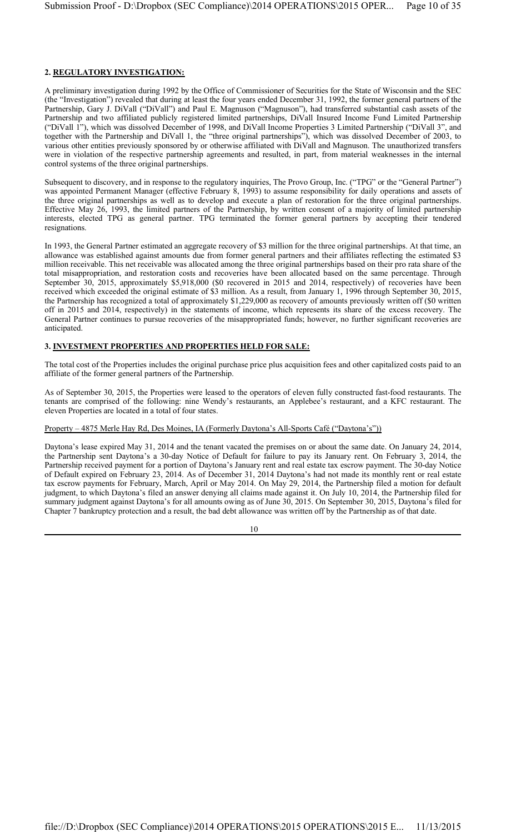# **2. REGULATORY INVESTIGATION:**

A preliminary investigation during 1992 by the Office of Commissioner of Securities for the State of Wisconsin and the SEC (the "Investigation") revealed that during at least the four years ended December 31, 1992, the former general partners of the Partnership, Gary J. DiVall ("DiVall") and Paul E. Magnuson ("Magnuson"), had transferred substantial cash assets of the Partnership and two affiliated publicly registered limited partnerships, DiVall Insured Income Fund Limited Partnership ("DiVall 1"), which was dissolved December of 1998, and DiVall Income Properties 3 Limited Partnership ("DiVall 3", and together with the Partnership and DiVall 1, the "three original partnerships"), which was dissolved December of 2003, to various other entities previously sponsored by or otherwise affiliated with DiVall and Magnuson. The unauthorized transfers were in violation of the respective partnership agreements and resulted, in part, from material weaknesses in the internal control systems of the three original partnerships.

Subsequent to discovery, and in response to the regulatory inquiries, The Provo Group, Inc. ("TPG" or the "General Partner") was appointed Permanent Manager (effective February 8, 1993) to assume responsibility for daily operations and assets of the three original partnerships as well as to develop and execute a plan of restoration for the three original partnerships. Effective May 26, 1993, the limited partners of the Partnership, by written consent of a majority of limited partnership interests, elected TPG as general partner. TPG terminated the former general partners by accepting their tendered resignations.

In 1993, the General Partner estimated an aggregate recovery of \$3 million for the three original partnerships. At that time, an allowance was established against amounts due from former general partners and their affiliates reflecting the estimated \$3 million receivable. This net receivable was allocated among the three original partnerships based on their pro rata share of the total misappropriation, and restoration costs and recoveries have been allocated based on the same percentage. Through September 30, 2015, approximately \$5,918,000 (\$0 recovered in 2015 and 2014, respectively) of recoveries have been received which exceeded the original estimate of \$3 million. As a result, from January 1, 1996 through September 30, 2015, the Partnership has recognized a total of approximately \$1,229,000 as recovery of amounts previously written off (\$0 written off in 2015 and 2014, respectively) in the statements of income, which represents its share of the excess recovery. The General Partner continues to pursue recoveries of the misappropriated funds; however, no further significant recoveries are anticipated.

#### **3. INVESTMENT PROPERTIES AND PROPERTIES HELD FOR SALE:**

The total cost of the Properties includes the original purchase price plus acquisition fees and other capitalized costs paid to an affiliate of the former general partners of the Partnership.

As of September 30, 2015, the Properties were leased to the operators of eleven fully constructed fast-food restaurants. The tenants are comprised of the following: nine Wendy's restaurants, an Applebee's restaurant, and a KFC restaurant. The eleven Properties are located in a total of four states.

#### Property – 4875 Merle Hay Rd, Des Moines, IA (Formerly Daytona's All-Sports Café ("Daytona's"))

Daytona's lease expired May 31, 2014 and the tenant vacated the premises on or about the same date. On January 24, 2014, the Partnership sent Daytona's a 30-day Notice of Default for failure to pay its January rent. On February 3, 2014, the Partnership received payment for a portion of Daytona's January rent and real estate tax escrow payment. The 30-day Notice of Default expired on February 23, 2014. As of December 31, 2014 Daytona's had not made its monthly rent or real estate tax escrow payments for February, March, April or May 2014. On May 29, 2014, the Partnership filed a motion for default judgment, to which Daytona's filed an answer denying all claims made against it. On July 10, 2014, the Partnership filed for summary judgment against Daytona's for all amounts owing as of June 30, 2015. On September 30, 2015, Daytona's filed for Chapter 7 bankruptcy protection and a result, the bad debt allowance was written off by the Partnership as of that date.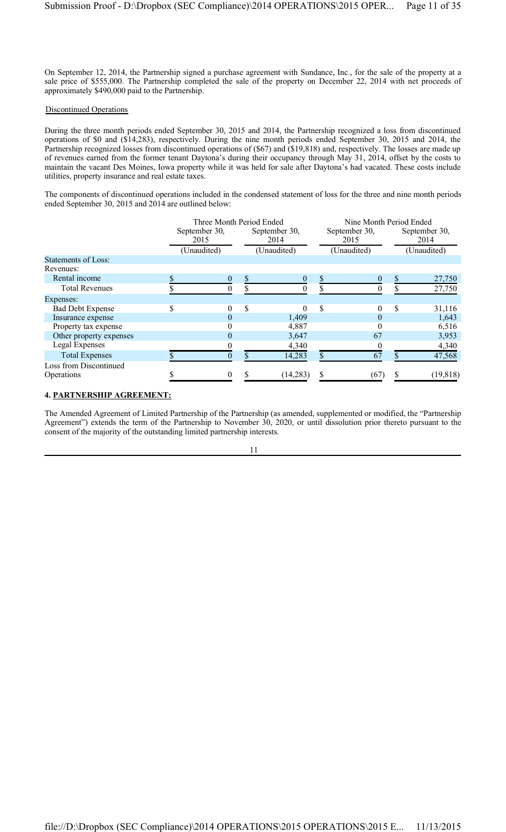On September 12, 2014, the Partnership signed a purchase agreement with Sundance, Inc., for the sale of the property at a sale price of \$555,000. The Partnership completed the sale of the property on December 22, 2014 with net proceeds of approximately \$490,000 paid to the Partnership.

#### Discontinued Operations

During the three month periods ended September 30, 2015 and 2014, the Partnership recognized a loss from discontinued operations of \$0 and (\$14,283), respectively. During the nine month periods ended September 30, 2015 and 2014, the Partnership recognized losses from discontinued operations of (\$67) and (\$19,818) and, respectively. The losses are made up of revenues earned from the former tenant Daytona's during their occupancy through May 31, 2014, offset by the costs to maintain the vacant Des Moines, Iowa property while it was held for sale after Daytona's had vacated. These costs include utilities, property insurance and real estate taxes.

The components of discontinued operations included in the condensed statement of loss for the three and nine month periods ended September 30, 2015 and 2014 are outlined below:

|                            | Three Month Period Ended |          |    |                       | Nine Month Period Ended |                       |    |                       |  |
|----------------------------|--------------------------|----------|----|-----------------------|-------------------------|-----------------------|----|-----------------------|--|
|                            | September 30,<br>2015    |          |    | September 30,<br>2014 |                         | September 30,<br>2015 |    | September 30,<br>2014 |  |
|                            | (Unaudited)              |          |    | (Unaudited)           |                         | (Unaudited)           |    | (Unaudited)           |  |
| <b>Statements of Loss:</b> |                          |          |    |                       |                         |                       |    |                       |  |
| Revenues:                  |                          |          |    |                       |                         |                       |    |                       |  |
| Rental income              |                          | $\theta$ |    | $\theta$              |                         | 0                     |    | 27,750                |  |
| <b>Total Revenues</b>      |                          |          |    |                       |                         | 0                     |    | 27,750                |  |
| Expenses:                  |                          |          |    |                       |                         |                       |    |                       |  |
| <b>Bad Debt Expense</b>    | \$                       | 0        | \$ | $\Omega$              | \$                      | 0                     | \$ | 31,116                |  |
| Insurance expense          |                          | 0        |    | 1,409                 |                         | $\theta$              |    | 1,643                 |  |
| Property tax expense       |                          |          |    | 4,887                 |                         | 0                     |    | 6,516                 |  |
| Other property expenses    |                          | 0        |    | 3,647                 |                         | 67                    |    | 3,953                 |  |
| Legal Expenses             |                          |          |    | 4,340                 |                         |                       |    | 4,340                 |  |
| <b>Total Expenses</b>      |                          |          |    | 14,283                | \$                      | 67                    |    | 47,568                |  |
| Loss from Discontinued     |                          |          |    |                       |                         |                       |    |                       |  |
| Operations                 |                          |          |    | (14, 283)             |                         | (67)                  |    | (19, 818)             |  |

#### **4. PARTNERSHIP AGREEMENT:**

The Amended Agreement of Limited Partnership of the Partnership (as amended, supplemented or modified, the "Partnership Agreement") extends the term of the Partnership to November 30, 2020, or until dissolution prior thereto pursuant to the consent of the majority of the outstanding limited partnership interests.

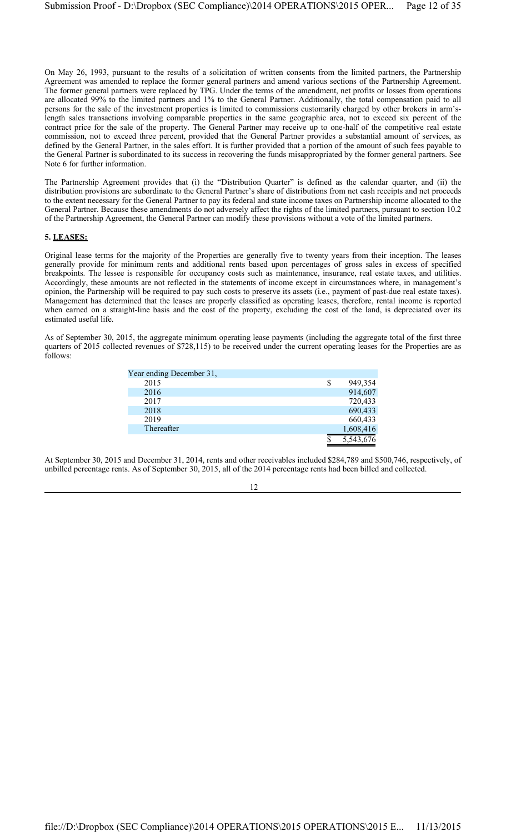On May 26, 1993, pursuant to the results of a solicitation of written consents from the limited partners, the Partnership Agreement was amended to replace the former general partners and amend various sections of the Partnership Agreement. The former general partners were replaced by TPG. Under the terms of the amendment, net profits or losses from operations are allocated 99% to the limited partners and 1% to the General Partner. Additionally, the total compensation paid to all persons for the sale of the investment properties is limited to commissions customarily charged by other brokers in arm'slength sales transactions involving comparable properties in the same geographic area, not to exceed six percent of the contract price for the sale of the property. The General Partner may receive up to one-half of the competitive real estate commission, not to exceed three percent, provided that the General Partner provides a substantial amount of services, as defined by the General Partner, in the sales effort. It is further provided that a portion of the amount of such fees payable to the General Partner is subordinated to its success in recovering the funds misappropriated by the former general partners. See Note 6 for further information.

The Partnership Agreement provides that (i) the "Distribution Quarter" is defined as the calendar quarter, and (ii) the distribution provisions are subordinate to the General Partner's share of distributions from net cash receipts and net proceeds to the extent necessary for the General Partner to pay its federal and state income taxes on Partnership income allocated to the General Partner. Because these amendments do not adversely affect the rights of the limited partners, pursuant to section 10.2 of the Partnership Agreement, the General Partner can modify these provisions without a vote of the limited partners.

#### **5. LEASES:**

Original lease terms for the majority of the Properties are generally five to twenty years from their inception. The leases generally provide for minimum rents and additional rents based upon percentages of gross sales in excess of specified breakpoints. The lessee is responsible for occupancy costs such as maintenance, insurance, real estate taxes, and utilities. Accordingly, these amounts are not reflected in the statements of income except in circumstances where, in management's opinion, the Partnership will be required to pay such costs to preserve its assets (i.e., payment of past-due real estate taxes). Management has determined that the leases are properly classified as operating leases, therefore, rental income is reported when earned on a straight-line basis and the cost of the property, excluding the cost of the land, is depreciated over its estimated useful life.

As of September 30, 2015, the aggregate minimum operating lease payments (including the aggregate total of the first three quarters of 2015 collected revenues of \$728,115) to be received under the current operating leases for the Properties are as follows:

| Year ending December 31, |           |
|--------------------------|-----------|
| 2015                     | 949,354   |
| 2016                     | 914,607   |
| 2017                     | 720,433   |
| 2018                     | 690,433   |
| 2019                     | 660,433   |
| Thereafter               | 1,608,416 |
|                          | 5,543,676 |

At September 30, 2015 and December 31, 2014, rents and other receivables included \$284,789 and \$500,746, respectively, of unbilled percentage rents. As of September 30, 2015, all of the 2014 percentage rents had been billed and collected.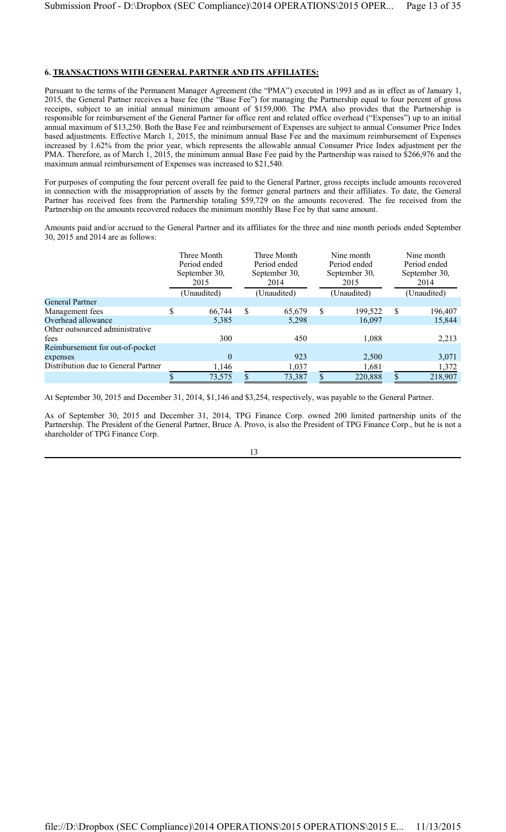# **6. TRANSACTIONS WITH GENERAL PARTNER AND ITS AFFILIATES:**

Pursuant to the terms of the Permanent Manager Agreement (the "PMA") executed in 1993 and as in effect as of January 1, 2015, the General Partner receives a base fee (the "Base Fee") for managing the Partnership equal to four percent of gross receipts, subject to an initial annual minimum amount of \$159,000. The PMA also provides that the Partnership is responsible for reimbursement of the General Partner for office rent and related office overhead ("Expenses") up to an initial annual maximum of \$13,250. Both the Base Fee and reimbursement of Expenses are subject to annual Consumer Price Index based adjustments. Effective March 1, 2015, the minimum annual Base Fee and the maximum reimbursement of Expenses increased by 1.62% from the prior year, which represents the allowable annual Consumer Price Index adjustment per the PMA. Therefore, as of March 1, 2015, the minimum annual Base Fee paid by the Partnership was raised to \$266,976 and the maximum annual reimbursement of Expenses was increased to \$21,540.

For purposes of computing the four percent overall fee paid to the General Partner, gross receipts include amounts recovered in connection with the misappropriation of assets by the former general partners and their affiliates. To date, the General Partner has received fees from the Partnership totaling \$59,729 on the amounts recovered. The fee received from the Partnership on the amounts recovered reduces the minimum monthly Base Fee by that same amount.

Amounts paid and/or accrued to the General Partner and its affiliates for the three and nine month periods ended September 30, 2015 and 2014 are as follows:

|                                     | Three Month<br>Period ended<br>September 30,<br>2015 |             | Three Month<br>Period ended<br>September 30,<br>2014 |             | Nine month<br>Period ended<br>September 30,<br>2015 |             | Nine month<br>Period ended<br>September 30,<br>2014 |  |
|-------------------------------------|------------------------------------------------------|-------------|------------------------------------------------------|-------------|-----------------------------------------------------|-------------|-----------------------------------------------------|--|
|                                     |                                                      | (Unaudited) | (Unaudited)                                          | (Unaudited) |                                                     | (Unaudited) |                                                     |  |
| <b>General Partner</b>              |                                                      |             |                                                      |             |                                                     |             |                                                     |  |
| Management fees                     | \$                                                   | 66,744      | \$<br>65,679                                         | S           | 199,522                                             | \$          | 196,407                                             |  |
| Overhead allowance                  |                                                      | 5,385       | 5,298                                                |             | 16,097                                              |             | 15,844                                              |  |
| Other outsourced administrative     |                                                      |             |                                                      |             |                                                     |             |                                                     |  |
| fees                                |                                                      | 300         | 450                                                  |             | 1,088                                               |             | 2,213                                               |  |
| Reimbursement for out-of-pocket     |                                                      |             |                                                      |             |                                                     |             |                                                     |  |
| expenses                            |                                                      | $\Omega$    | 923                                                  |             | 2,500                                               |             | 3,071                                               |  |
| Distribution due to General Partner |                                                      | 1,146       | 1,037                                                |             | 1,681                                               |             | 1,372                                               |  |
|                                     |                                                      | 73,575      | 73,387                                               |             | 220,888                                             |             | 218,907                                             |  |

At September 30, 2015 and December 31, 2014, \$1,146 and \$3,254, respectively, was payable to the General Partner.

As of September 30, 2015 and December 31, 2014, TPG Finance Corp. owned 200 limited partnership units of the Partnership. The President of the General Partner, Bruce A. Provo, is also the President of TPG Finance Corp., but he is not a shareholder of TPG Finance Corp.

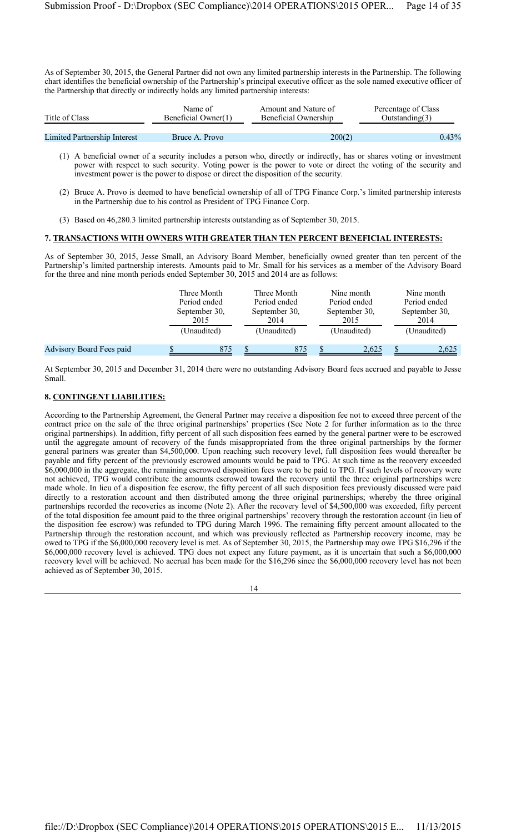As of September 30, 2015, the General Partner did not own any limited partnership interests in the Partnership. The following chart identifies the beneficial ownership of the Partnership's principal executive officer as the sole named executive officer of the Partnership that directly or indirectly holds any limited partnership interests:

| Title of Class | Name of             | Amount and Nature of | Percentage of Class |
|----------------|---------------------|----------------------|---------------------|
|                | Beneficial Owner(1) | Beneficial Ownership | Outstanding(3)      |
|                |                     |                      |                     |

| <b>Limited Partnership Interest</b> | Bruce A. Provo | 200(2)                                                                                                                 | 0.43% |
|-------------------------------------|----------------|------------------------------------------------------------------------------------------------------------------------|-------|
|                                     |                |                                                                                                                        |       |
|                                     |                | $(1)$ A banaficial owner of a security includes a person who directly or indirectly has or shares voting or investment |       |

- (1) A beneficial owner of a security includes a person who, directly or indirectly, has or shares voting or investment power with respect to such security. Voting power is the power to vote or direct the voting of the security and investment power is the power to dispose or direct the disposition of the security.
- (2) Bruce A. Provo is deemed to have beneficial ownership of all of TPG Finance Corp.'s limited partnership interests in the Partnership due to his control as President of TPG Finance Corp.
- (3) Based on 46,280.3 limited partnership interests outstanding as of September 30, 2015.

#### **7. TRANSACTIONS WITH OWNERS WITH GREATER THAN TEN PERCENT BENEFICIAL INTERESTS:**

As of September 30, 2015, Jesse Small, an Advisory Board Member, beneficially owned greater than ten percent of the Partnership's limited partnership interests. Amounts paid to Mr. Small for his services as a member of the Advisory Board for the three and nine month periods ended September 30, 2015 and 2014 are as follows:

|                                 | Three Month<br>Period ended<br>September 30,<br>2015<br>(Unaudited) |     | Three Month<br>Period ended<br>September 30,<br>2014<br>(Unaudited) | Nine month<br>Period ended<br>September 30,<br>2015<br>(Unaudited) | Nine month<br>Period ended<br>September 30,<br>2014<br>(Unaudited) |
|---------------------------------|---------------------------------------------------------------------|-----|---------------------------------------------------------------------|--------------------------------------------------------------------|--------------------------------------------------------------------|
| <b>Advisory Board Fees paid</b> |                                                                     | 875 | 875                                                                 | 2.625                                                              | 2,625                                                              |

At September 30, 2015 and December 31, 2014 there were no outstanding Advisory Board fees accrued and payable to Jesse Small.

#### **8. CONTINGENT LIABILITIES:**

According to the Partnership Agreement, the General Partner may receive a disposition fee not to exceed three percent of the contract price on the sale of the three original partnerships' properties (See Note 2 for further information as to the three original partnerships). In addition, fifty percent of all such disposition fees earned by the general partner were to be escrowed until the aggregate amount of recovery of the funds misappropriated from the three original partnerships by the former general partners was greater than \$4,500,000. Upon reaching such recovery level, full disposition fees would thereafter be payable and fifty percent of the previously escrowed amounts would be paid to TPG. At such time as the recovery exceeded \$6,000,000 in the aggregate, the remaining escrowed disposition fees were to be paid to TPG. If such levels of recovery were not achieved, TPG would contribute the amounts escrowed toward the recovery until the three original partnerships were made whole. In lieu of a disposition fee escrow, the fifty percent of all such disposition fees previously discussed were paid directly to a restoration account and then distributed among the three original partnerships; whereby the three original partnerships recorded the recoveries as income (Note 2). After the recovery level of \$4,500,000 was exceeded, fifty percent of the total disposition fee amount paid to the three original partnerships' recovery through the restoration account (in lieu of the disposition fee escrow) was refunded to TPG during March 1996. The remaining fifty percent amount allocated to the Partnership through the restoration account, and which was previously reflected as Partnership recovery income, may be owed to TPG if the \$6,000,000 recovery level is met. As of September 30, 2015, the Partnership may owe TPG \$16,296 if the \$6,000,000 recovery level is achieved. TPG does not expect any future payment, as it is uncertain that such a \$6,000,000 recovery level will be achieved. No accrual has been made for the \$16,296 since the \$6,000,000 recovery level has not been achieved as of September 30, 2015.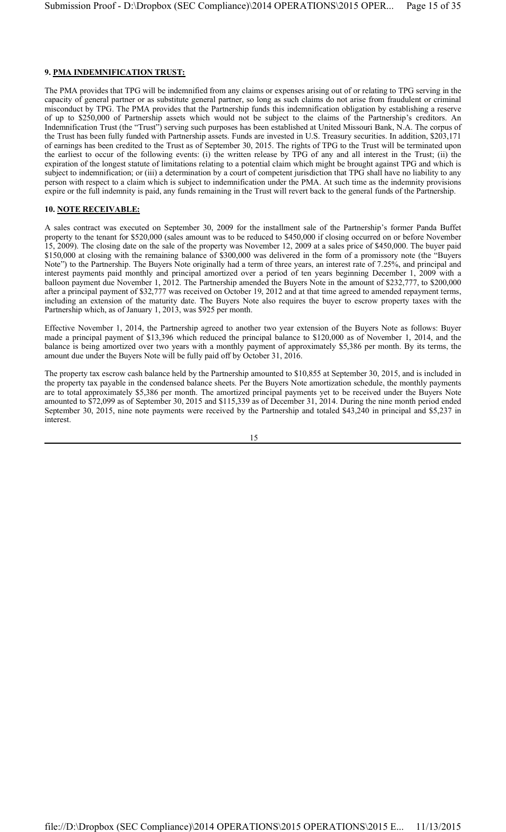# **9. PMA INDEMNIFICATION TRUST:**

The PMA provides that TPG will be indemnified from any claims or expenses arising out of or relating to TPG serving in the capacity of general partner or as substitute general partner, so long as such claims do not arise from fraudulent or criminal misconduct by TPG. The PMA provides that the Partnership funds this indemnification obligation by establishing a reserve of up to \$250,000 of Partnership assets which would not be subject to the claims of the Partnership's creditors. An Indemnification Trust (the "Trust") serving such purposes has been established at United Missouri Bank, N.A. The corpus of the Trust has been fully funded with Partnership assets. Funds are invested in U.S. Treasury securities. In addition, \$203,171 of earnings has been credited to the Trust as of September 30, 2015. The rights of TPG to the Trust will be terminated upon the earliest to occur of the following events: (i) the written release by TPG of any and all interest in the Trust; (ii) the expiration of the longest statute of limitations relating to a potential claim which might be brought against TPG and which is subject to indemnification; or (iii) a determination by a court of competent jurisdiction that TPG shall have no liability to any person with respect to a claim which is subject to indemnification under the PMA. At such time as the indemnity provisions expire or the full indemnity is paid, any funds remaining in the Trust will revert back to the general funds of the Partnership.

#### **10. NOTE RECEIVABLE:**

A sales contract was executed on September 30, 2009 for the installment sale of the Partnership's former Panda Buffet property to the tenant for \$520,000 (sales amount was to be reduced to \$450,000 if closing occurred on or before November 15, 2009). The closing date on the sale of the property was November 12, 2009 at a sales price of \$450,000. The buyer paid \$150,000 at closing with the remaining balance of \$300,000 was delivered in the form of a promissory note (the "Buyers Note") to the Partnership. The Buyers Note originally had a term of three years, an interest rate of 7.25%, and principal and interest payments paid monthly and principal amortized over a period of ten years beginning December 1, 2009 with a balloon payment due November 1, 2012. The Partnership amended the Buyers Note in the amount of \$232,777, to \$200,000 after a principal payment of \$32,777 was received on October 19, 2012 and at that time agreed to amended repayment terms, including an extension of the maturity date. The Buyers Note also requires the buyer to escrow property taxes with the Partnership which, as of January 1, 2013, was \$925 per month.

Effective November 1, 2014, the Partnership agreed to another two year extension of the Buyers Note as follows: Buyer made a principal payment of \$13,396 which reduced the principal balance to \$120,000 as of November 1, 2014, and the balance is being amortized over two years with a monthly payment of approximately \$5,386 per month. By its terms, the amount due under the Buyers Note will be fully paid off by October 31, 2016.

The property tax escrow cash balance held by the Partnership amounted to \$10,855 at September 30, 2015, and is included in the property tax payable in the condensed balance sheets. Per the Buyers Note amortization schedule, the monthly payments are to total approximately \$5,386 per month. The amortized principal payments yet to be received under the Buyers Note amounted to \$72,099 as of September 30, 2015 and \$115,339 as of December 31, 2014. During the nine month period ended September 30, 2015, nine note payments were received by the Partnership and totaled \$43,240 in principal and \$5,237 in interest.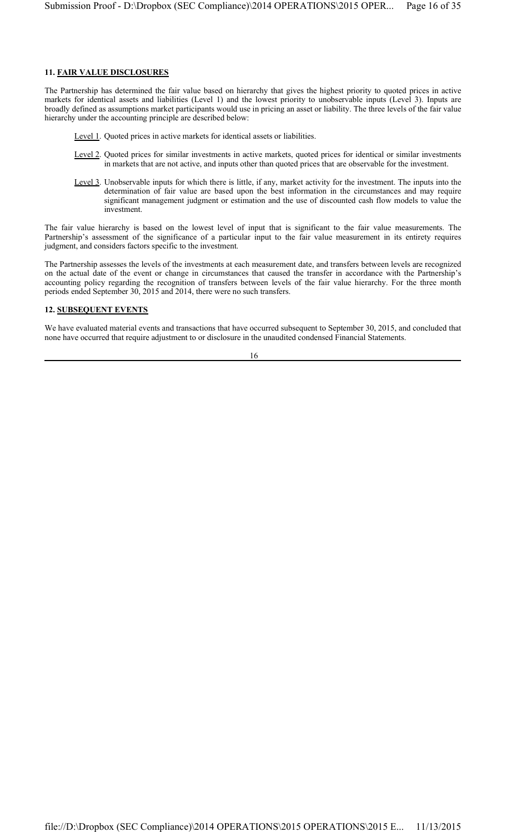### **11. FAIR VALUE DISCLOSURES**

The Partnership has determined the fair value based on hierarchy that gives the highest priority to quoted prices in active markets for identical assets and liabilities (Level 1) and the lowest priority to unobservable inputs (Level 3). Inputs are broadly defined as assumptions market participants would use in pricing an asset or liability. The three levels of the fair value hierarchy under the accounting principle are described below:

- Level 1. Quoted prices in active markets for identical assets or liabilities.
- Level 2. Quoted prices for similar investments in active markets, quoted prices for identical or similar investments in markets that are not active, and inputs other than quoted prices that are observable for the investment.
- Level 3. Unobservable inputs for which there is little, if any, market activity for the investment. The inputs into the determination of fair value are based upon the best information in the circumstances and may require significant management judgment or estimation and the use of discounted cash flow models to value the investment.

The fair value hierarchy is based on the lowest level of input that is significant to the fair value measurements. The Partnership's assessment of the significance of a particular input to the fair value measurement in its entirety requires judgment, and considers factors specific to the investment.

The Partnership assesses the levels of the investments at each measurement date, and transfers between levels are recognized on the actual date of the event or change in circumstances that caused the transfer in accordance with the Partnership's accounting policy regarding the recognition of transfers between levels of the fair value hierarchy. For the three month periods ended September 30, 2015 and 2014, there were no such transfers.

#### **12. SUBSEQUENT EVENTS**

We have evaluated material events and transactions that have occurred subsequent to September 30, 2015, and concluded that none have occurred that require adjustment to or disclosure in the unaudited condensed Financial Statements.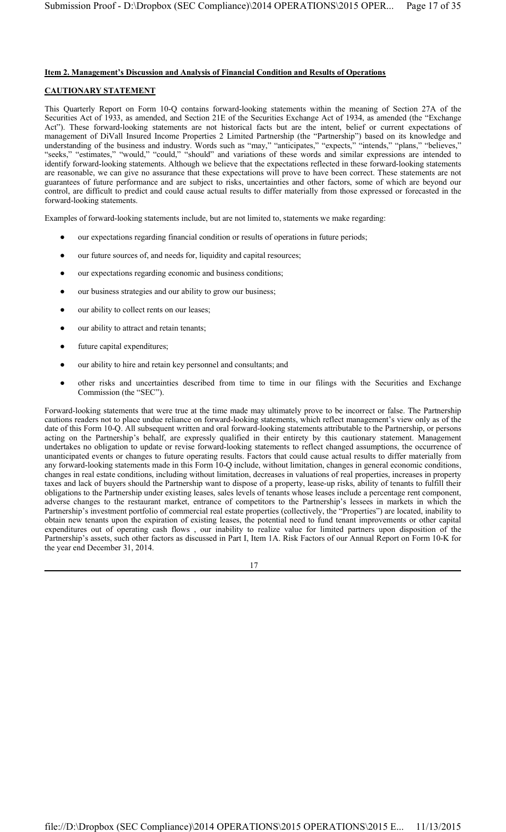#### **Item 2. Management's Discussion and Analysis of Financial Condition and Results of Operations**

## **CAUTIONARY STATEMENT**

This Quarterly Report on Form 10-Q contains forward-looking statements within the meaning of Section 27A of the Securities Act of 1933, as amended, and Section 21E of the Securities Exchange Act of 1934, as amended (the "Exchange Act"). These forward-looking statements are not historical facts but are the intent, belief or current expectations of management of DiVall Insured Income Properties 2 Limited Partnership (the "Partnership") based on its knowledge and understanding of the business and industry. Words such as "may," "anticipates," "expects," "intends," "plans," "believes," "seeks," "estimates," "would," "could," "should" and variations of these words and similar expressions are intended to identify forward-looking statements. Although we believe that the expectations reflected in these forward-looking statements are reasonable, we can give no assurance that these expectations will prove to have been correct. These statements are not guarantees of future performance and are subject to risks, uncertainties and other factors, some of which are beyond our control, are difficult to predict and could cause actual results to differ materially from those expressed or forecasted in the forward-looking statements.

Examples of forward-looking statements include, but are not limited to, statements we make regarding:

- our expectations regarding financial condition or results of operations in future periods;
- our future sources of, and needs for, liquidity and capital resources;
- our expectations regarding economic and business conditions;
- our business strategies and our ability to grow our business;
- our ability to collect rents on our leases;
- our ability to attract and retain tenants;
- future capital expenditures;
- our ability to hire and retain key personnel and consultants; and
- other risks and uncertainties described from time to time in our filings with the Securities and Exchange Commission (the "SEC").

Forward-looking statements that were true at the time made may ultimately prove to be incorrect or false. The Partnership cautions readers not to place undue reliance on forward-looking statements, which reflect management's view only as of the date of this Form 10-Q. All subsequent written and oral forward-looking statements attributable to the Partnership, or persons acting on the Partnership's behalf, are expressly qualified in their entirety by this cautionary statement. Management undertakes no obligation to update or revise forward-looking statements to reflect changed assumptions, the occurrence of unanticipated events or changes to future operating results. Factors that could cause actual results to differ materially from any forward-looking statements made in this Form 10-Q include, without limitation, changes in general economic conditions, changes in real estate conditions, including without limitation, decreases in valuations of real properties, increases in property taxes and lack of buyers should the Partnership want to dispose of a property, lease-up risks, ability of tenants to fulfill their obligations to the Partnership under existing leases, sales levels of tenants whose leases include a percentage rent component, adverse changes to the restaurant market, entrance of competitors to the Partnership's lessees in markets in which the Partnership's investment portfolio of commercial real estate properties (collectively, the "Properties") are located, inability to obtain new tenants upon the expiration of existing leases, the potential need to fund tenant improvements or other capital expenditures out of operating cash flows , our inability to realize value for limited partners upon disposition of the Partnership's assets, such other factors as discussed in Part I, Item 1A. Risk Factors of our Annual Report on Form 10-K for the year end December 31, 2014.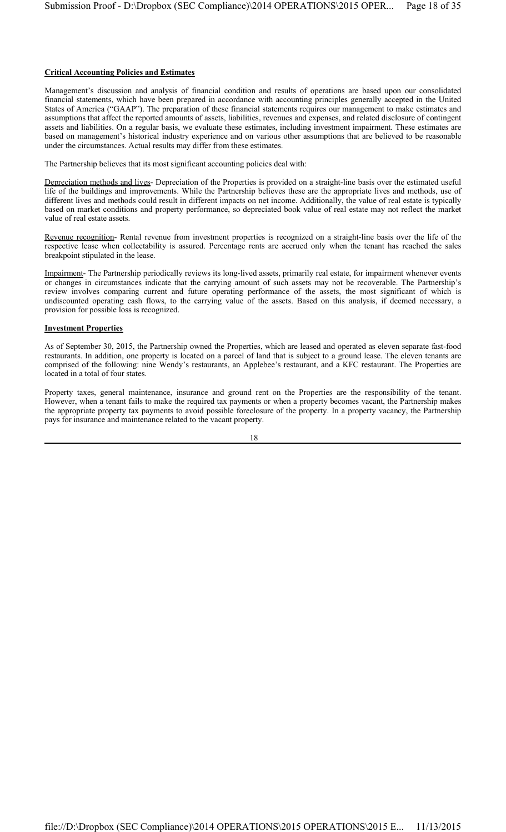#### **Critical Accounting Policies and Estimates**

Management's discussion and analysis of financial condition and results of operations are based upon our consolidated financial statements, which have been prepared in accordance with accounting principles generally accepted in the United States of America ("GAAP"). The preparation of these financial statements requires our management to make estimates and assumptions that affect the reported amounts of assets, liabilities, revenues and expenses, and related disclosure of contingent assets and liabilities. On a regular basis, we evaluate these estimates, including investment impairment. These estimates are based on management's historical industry experience and on various other assumptions that are believed to be reasonable under the circumstances. Actual results may differ from these estimates.

The Partnership believes that its most significant accounting policies deal with:

Depreciation methods and lives- Depreciation of the Properties is provided on a straight-line basis over the estimated useful life of the buildings and improvements. While the Partnership believes these are the appropriate lives and methods, use of different lives and methods could result in different impacts on net income. Additionally, the value of real estate is typically based on market conditions and property performance, so depreciated book value of real estate may not reflect the market value of real estate assets.

Revenue recognition- Rental revenue from investment properties is recognized on a straight-line basis over the life of the respective lease when collectability is assured. Percentage rents are accrued only when the tenant has reached the sales breakpoint stipulated in the lease.

Impairment- The Partnership periodically reviews its long-lived assets, primarily real estate, for impairment whenever events or changes in circumstances indicate that the carrying amount of such assets may not be recoverable. The Partnership's review involves comparing current and future operating performance of the assets, the most significant of which is undiscounted operating cash flows, to the carrying value of the assets. Based on this analysis, if deemed necessary, a provision for possible loss is recognized.

#### **Investment Properties**

As of September 30, 2015, the Partnership owned the Properties, which are leased and operated as eleven separate fast-food restaurants. In addition, one property is located on a parcel of land that is subject to a ground lease. The eleven tenants are comprised of the following: nine Wendy's restaurants, an Applebee's restaurant, and a KFC restaurant. The Properties are located in a total of four states.

Property taxes, general maintenance, insurance and ground rent on the Properties are the responsibility of the tenant. However, when a tenant fails to make the required tax payments or when a property becomes vacant, the Partnership makes the appropriate property tax payments to avoid possible foreclosure of the property. In a property vacancy, the Partnership pays for insurance and maintenance related to the vacant property.

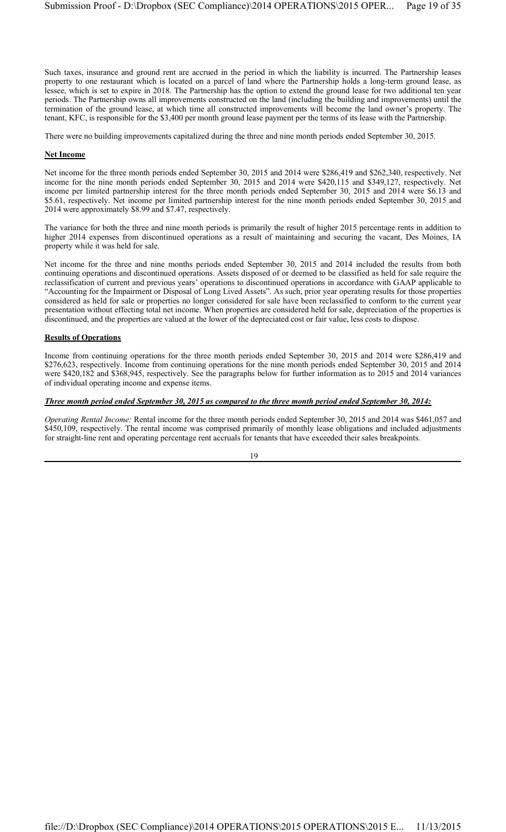Such taxes, insurance and ground rent are accrued in the period in which the liability is incurred. The Partnership leases property to one restaurant which is located on a parcel of land where the Partnership holds a long-term ground lease, as lessee, which is set to expire in 2018. The Partnership has the option to extend the ground lease for two additional ten year periods. The Partnership owns all improvements constructed on the land (including the building and improvements) until the termination of the ground lease, at which time all constructed improvements will become the land owner's property. The tenant, KFC, is responsible for the \$3,400 per month ground lease payment per the terms of its lease with the Partnership.

There were no building improvements capitalized during the three and nine month periods ended September 30, 2015.

#### **Net Income**

Net income for the three month periods ended September 30, 2015 and 2014 were \$286,419 and \$262,340, respectively. Net income for the nine month periods ended September 30, 2015 and 2014 were \$420,115 and \$349,127, respectively. Net income per limited partnership interest for the three month periods ended September 30, 2015 and 2014 were \$6.13 and \$5.61, respectively. Net income per limited partnership interest for the nine month periods ended September 30, 2015 and 2014 were approximately \$8.99 and \$7.47, respectively.

The variance for both the three and nine month periods is primarily the result of higher 2015 percentage rents in addition to higher 2014 expenses from discontinued operations as a result of maintaining and securing the vacant, Des Moines, IA property while it was held for sale.

Net income for the three and nine months periods ended September 30, 2015 and 2014 included the results from both continuing operations and discontinued operations. Assets disposed of or deemed to be classified as held for sale require the reclassification of current and previous years' operations to discontinued operations in accordance with GAAP applicable to "Accounting for the Impairment or Disposal of Long Lived Assets". As such, prior year operating results for those properties considered as held for sale or properties no longer considered for sale have been reclassified to conform to the current year presentation without effecting total net income. When properties are considered held for sale, depreciation of the properties is discontinued, and the properties are valued at the lower of the depreciated cost or fair value, less costs to dispose.

#### **Results of Operations**

Income from continuing operations for the three month periods ended September 30, 2015 and 2014 were \$286,419 and \$276,623, respectively. Income from continuing operations for the nine month periods ended September 30, 2015 and 2014 were \$420,182 and \$368,945, respectively. See the paragraphs below for further information as to 2015 and 2014 variances of individual operating income and expense items.

#### *Three month period ended September 30, 2015 as compared to the three month period ended September 30, 2014:*

*Operating Rental Income:* Rental income for the three month periods ended September 30, 2015 and 2014 was \$461,057 and \$450,109, respectively. The rental income was comprised primarily of monthly lease obligations and included adjustments for straight-line rent and operating percentage rent accruals for tenants that have exceeded their sales breakpoints.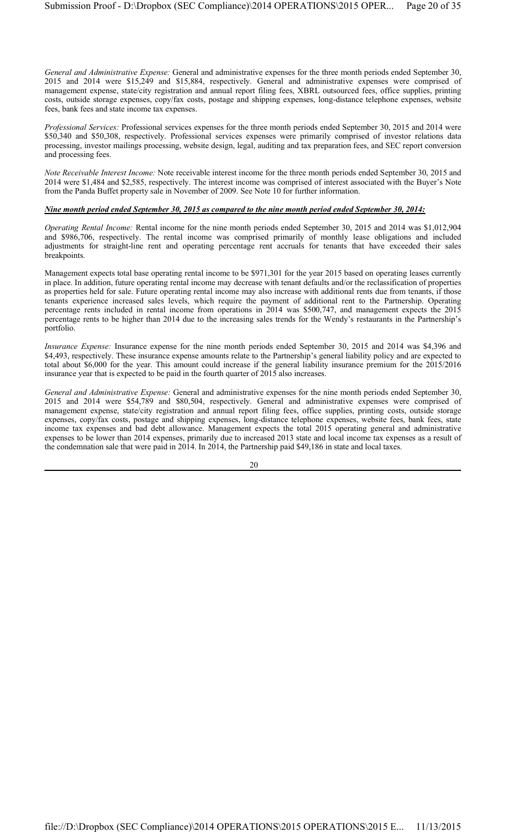*General and Administrative Expense:* General and administrative expenses for the three month periods ended September 30, 2015 and 2014 were \$15,249 and \$15,884, respectively. General and administrative expenses were comprised of management expense, state/city registration and annual report filing fees, XBRL outsourced fees, office supplies, printing costs, outside storage expenses, copy/fax costs, postage and shipping expenses, long-distance telephone expenses, website fees, bank fees and state income tax expenses.

*Professional Services:* Professional services expenses for the three month periods ended September 30, 2015 and 2014 were \$50,340 and \$50,308, respectively. Professional services expenses were primarily comprised of investor relations data processing, investor mailings processing, website design, legal, auditing and tax preparation fees, and SEC report conversion and processing fees.

*Note Receivable Interest Income:* Note receivable interest income for the three month periods ended September 30, 2015 and 2014 were \$1,484 and \$2,585, respectively. The interest income was comprised of interest associated with the Buyer's Note from the Panda Buffet property sale in November of 2009. See Note 10 for further information.

#### *Nine month period ended September 30, 2015 as compared to the nine month period ended September 30, 2014:*

*Operating Rental Income:* Rental income for the nine month periods ended September 30, 2015 and 2014 was \$1,012,904 and \$986,706, respectively. The rental income was comprised primarily of monthly lease obligations and included adjustments for straight-line rent and operating percentage rent accruals for tenants that have exceeded their sales breakpoints.

Management expects total base operating rental income to be \$971,301 for the year 2015 based on operating leases currently in place. In addition, future operating rental income may decrease with tenant defaults and/or the reclassification of properties as properties held for sale. Future operating rental income may also increase with additional rents due from tenants, if those tenants experience increased sales levels, which require the payment of additional rent to the Partnership. Operating percentage rents included in rental income from operations in 2014 was \$500,747, and management expects the 2015 percentage rents to be higher than 2014 due to the increasing sales trends for the Wendy's restaurants in the Partnership's portfolio.

*Insurance Expense:* Insurance expense for the nine month periods ended September 30, 2015 and 2014 was \$4,396 and \$4,493, respectively. These insurance expense amounts relate to the Partnership's general liability policy and are expected to total about \$6,000 for the year. This amount could increase if the general liability insurance premium for the 2015/2016 insurance year that is expected to be paid in the fourth quarter of 2015 also increases.

*General and Administrative Expense:* General and administrative expenses for the nine month periods ended September 30, 2015 and 2014 were \$54,789 and \$80,504, respectively. General and administrative expenses were comprised of management expense, state/city registration and annual report filing fees, office supplies, printing costs, outside storage expenses, copy/fax costs, postage and shipping expenses, long-distance telephone expenses, website fees, bank fees, state income tax expenses and bad debt allowance. Management expects the total 2015 operating general and administrative expenses to be lower than 2014 expenses, primarily due to increased 2013 state and local income tax expenses as a result of the condemnation sale that were paid in 2014. In 2014, the Partnership paid \$49,186 in state and local taxes.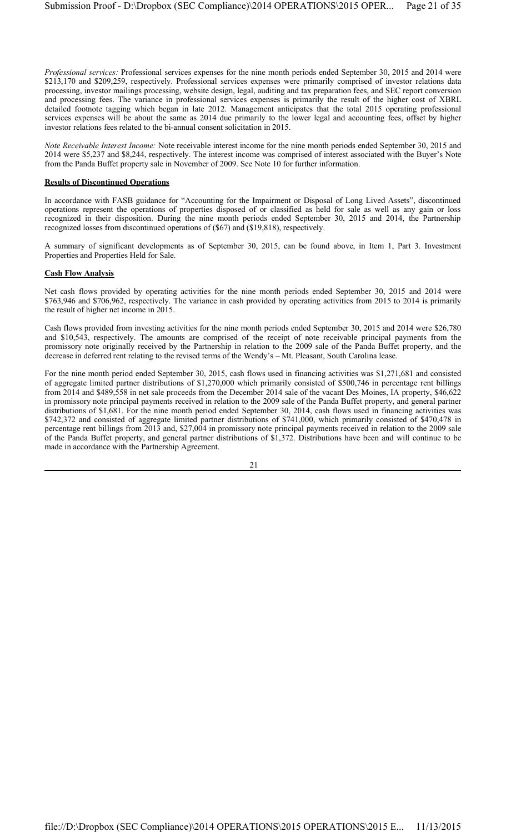*Professional services:* Professional services expenses for the nine month periods ended September 30, 2015 and 2014 were \$213,170 and \$209,259, respectively. Professional services expenses were primarily comprised of investor relations data processing, investor mailings processing, website design, legal, auditing and tax preparation fees, and SEC report conversion and processing fees. The variance in professional services expenses is primarily the result of the higher cost of XBRL detailed footnote tagging which began in late 2012. Management anticipates that the total 2015 operating professional services expenses will be about the same as 2014 due primarily to the lower legal and accounting fees, offset by higher investor relations fees related to the bi-annual consent solicitation in 2015.

*Note Receivable Interest Income:* Note receivable interest income for the nine month periods ended September 30, 2015 and 2014 were \$5,237 and \$8,244, respectively. The interest income was comprised of interest associated with the Buyer's Note from the Panda Buffet property sale in November of 2009. See Note 10 for further information.

#### **Results of Discontinued Operations**

In accordance with FASB guidance for "Accounting for the Impairment or Disposal of Long Lived Assets", discontinued operations represent the operations of properties disposed of or classified as held for sale as well as any gain or loss recognized in their disposition. During the nine month periods ended September 30, 2015 and 2014, the Partnership recognized losses from discontinued operations of (\$67) and (\$19,818), respectively.

A summary of significant developments as of September 30, 2015, can be found above, in Item 1, Part 3. Investment Properties and Properties Held for Sale.

#### **Cash Flow Analysis**

Net cash flows provided by operating activities for the nine month periods ended September 30, 2015 and 2014 were \$763,946 and \$706,962, respectively. The variance in cash provided by operating activities from 2015 to 2014 is primarily the result of higher net income in 2015.

Cash flows provided from investing activities for the nine month periods ended September 30, 2015 and 2014 were \$26,780 and \$10,543, respectively. The amounts are comprised of the receipt of note receivable principal payments from the promissory note originally received by the Partnership in relation to the 2009 sale of the Panda Buffet property, and the decrease in deferred rent relating to the revised terms of the Wendy's – Mt. Pleasant, South Carolina lease.

For the nine month period ended September 30, 2015, cash flows used in financing activities was \$1,271,681 and consisted of aggregate limited partner distributions of \$1,270,000 which primarily consisted of \$500,746 in percentage rent billings from 2014 and \$489,558 in net sale proceeds from the December 2014 sale of the vacant Des Moines, IA property, \$46,622 in promissory note principal payments received in relation to the 2009 sale of the Panda Buffet property, and general partner distributions of \$1,681. For the nine month period ended September 30, 2014, cash flows used in financing activities was \$742,372 and consisted of aggregate limited partner distributions of \$741,000, which primarily consisted of \$470,478 in percentage rent billings from 2013 and, \$27,004 in promissory note principal payments received in relation to the 2009 sale of the Panda Buffet property, and general partner distributions of \$1,372. Distributions have been and will continue to be made in accordance with the Partnership Agreement.

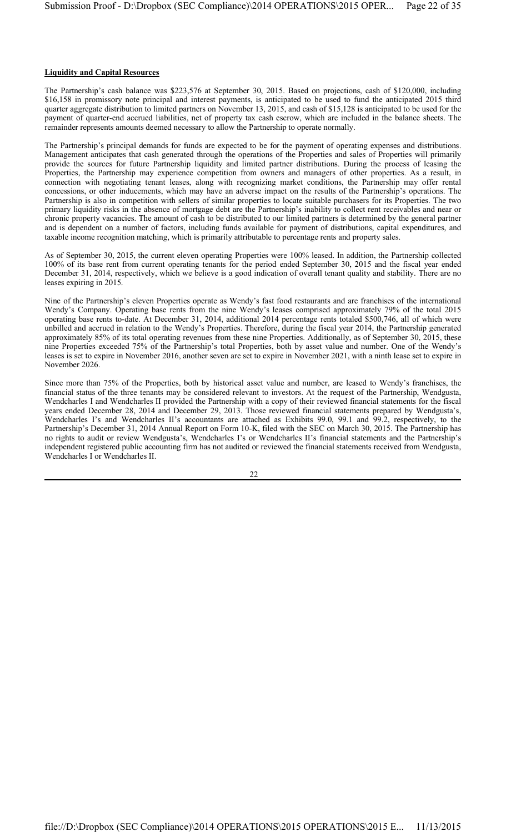#### **Liquidity and Capital Resources**

The Partnership's cash balance was \$223,576 at September 30, 2015. Based on projections, cash of \$120,000, including \$16,158 in promissory note principal and interest payments, is anticipated to be used to fund the anticipated 2015 third quarter aggregate distribution to limited partners on November 13, 2015, and cash of \$15,128 is anticipated to be used for the payment of quarter-end accrued liabilities, net of property tax cash escrow, which are included in the balance sheets. The remainder represents amounts deemed necessary to allow the Partnership to operate normally.

The Partnership's principal demands for funds are expected to be for the payment of operating expenses and distributions. Management anticipates that cash generated through the operations of the Properties and sales of Properties will primarily provide the sources for future Partnership liquidity and limited partner distributions. During the process of leasing the Properties, the Partnership may experience competition from owners and managers of other properties. As a result, in connection with negotiating tenant leases, along with recognizing market conditions, the Partnership may offer rental concessions, or other inducements, which may have an adverse impact on the results of the Partnership's operations. The Partnership is also in competition with sellers of similar properties to locate suitable purchasers for its Properties. The two primary liquidity risks in the absence of mortgage debt are the Partnership's inability to collect rent receivables and near or chronic property vacancies. The amount of cash to be distributed to our limited partners is determined by the general partner and is dependent on a number of factors, including funds available for payment of distributions, capital expenditures, and taxable income recognition matching, which is primarily attributable to percentage rents and property sales.

As of September 30, 2015, the current eleven operating Properties were 100% leased. In addition, the Partnership collected 100% of its base rent from current operating tenants for the period ended September 30, 2015 and the fiscal year ended December 31, 2014, respectively, which we believe is a good indication of overall tenant quality and stability. There are no leases expiring in 2015.

Nine of the Partnership's eleven Properties operate as Wendy's fast food restaurants and are franchises of the international Wendy's Company. Operating base rents from the nine Wendy's leases comprised approximately 79% of the total 2015 operating base rents to-date. At December 31, 2014, additional 2014 percentage rents totaled \$500,746, all of which were unbilled and accrued in relation to the Wendy's Properties. Therefore, during the fiscal year 2014, the Partnership generated approximately 85% of its total operating revenues from these nine Properties. Additionally, as of September 30, 2015, these nine Properties exceeded 75% of the Partnership's total Properties, both by asset value and number. One of the Wendy's leases is set to expire in November 2016, another seven are set to expire in November 2021, with a ninth lease set to expire in November 2026.

Since more than 75% of the Properties, both by historical asset value and number, are leased to Wendy's franchises, the financial status of the three tenants may be considered relevant to investors. At the request of the Partnership, Wendgusta, Wendcharles I and Wendcharles II provided the Partnership with a copy of their reviewed financial statements for the fiscal years ended December 28, 2014 and December 29, 2013. Those reviewed financial statements prepared by Wendgusta's, Wendcharles I's and Wendcharles II's accountants are attached as Exhibits 99.0, 99.1 and 99.2, respectively, to the Partnership's December 31, 2014 Annual Report on Form 10-K, filed with the SEC on March 30, 2015. The Partnership has no rights to audit or review Wendgusta's, Wendcharles I's or Wendcharles II's financial statements and the Partnership's independent registered public accounting firm has not audited or reviewed the financial statements received from Wendgusta, Wendcharles I or Wendcharles II.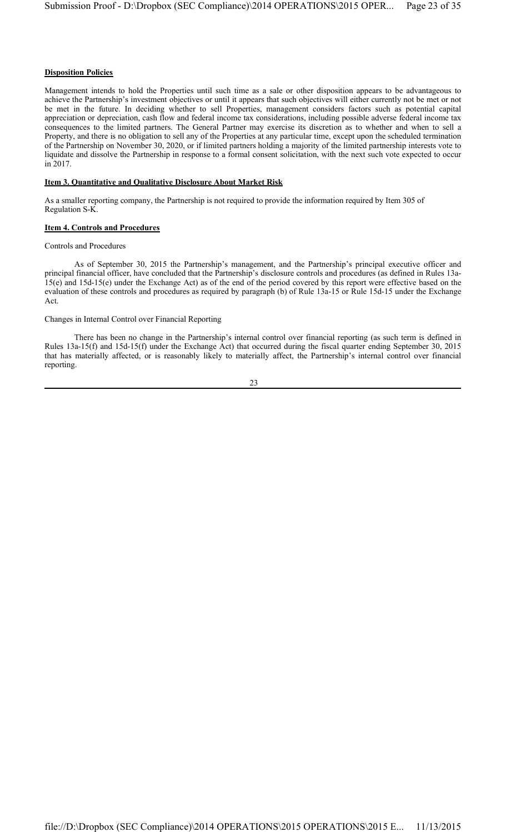# **Disposition Policies**

Management intends to hold the Properties until such time as a sale or other disposition appears to be advantageous to achieve the Partnership's investment objectives or until it appears that such objectives will either currently not be met or not be met in the future. In deciding whether to sell Properties, management considers factors such as potential capital appreciation or depreciation, cash flow and federal income tax considerations, including possible adverse federal income tax consequences to the limited partners. The General Partner may exercise its discretion as to whether and when to sell a Property, and there is no obligation to sell any of the Properties at any particular time, except upon the scheduled termination of the Partnership on November 30, 2020, or if limited partners holding a majority of the limited partnership interests vote to liquidate and dissolve the Partnership in response to a formal consent solicitation, with the next such vote expected to occur in 2017.

#### **Item 3. Quantitative and Qualitative Disclosure About Market Risk**

As a smaller reporting company, the Partnership is not required to provide the information required by Item 305 of Regulation S-K.

#### **Item 4. Controls and Procedures**

#### Controls and Procedures

As of September 30, 2015 the Partnership's management, and the Partnership's principal executive officer and principal financial officer, have concluded that the Partnership's disclosure controls and procedures (as defined in Rules 13a-15(e) and 15d-15(e) under the Exchange Act) as of the end of the period covered by this report were effective based on the evaluation of these controls and procedures as required by paragraph (b) of Rule 13a-15 or Rule 15d-15 under the Exchange Act.

#### Changes in Internal Control over Financial Reporting

There has been no change in the Partnership's internal control over financial reporting (as such term is defined in Rules 13a-15(f) and 15d-15(f) under the Exchange Act) that occurred during the fiscal quarter ending September 30, 2015 that has materially affected, or is reasonably likely to materially affect, the Partnership's internal control over financial reporting.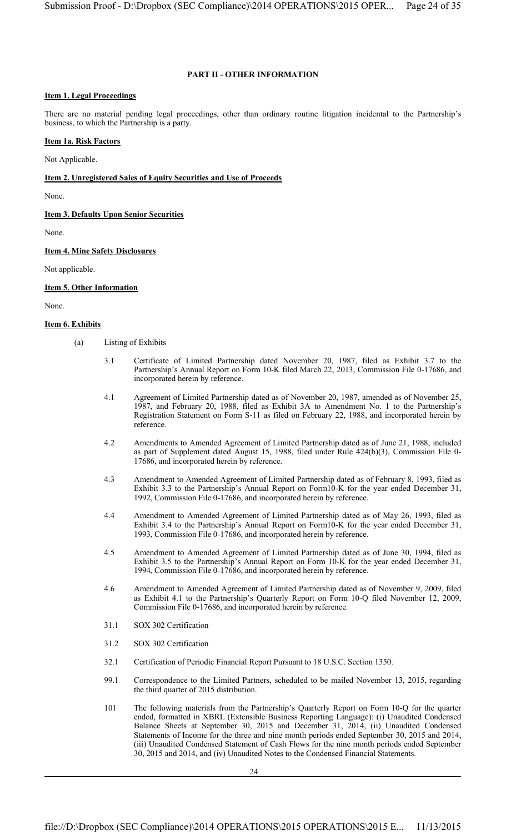# **PART II - OTHER INFORMATION**

## **Item 1. Legal Proceedings**

There are no material pending legal proceedings, other than ordinary routine litigation incidental to the Partnership's business, to which the Partnership is a party.

## **Item 1a. Risk Factors**

Not Applicable.

#### **Item 2. Unregistered Sales of Equity Securities and Use of Proceeds**

None.

**Item 3. Defaults Upon Senior Securities**

None.

**Item 4. Mine Safety Disclosures**

Not applicable.

#### **Item 5. Other Information**

None.

#### **Item 6. Exhibits**

- (a) Listing of Exhibits
	- 3.1 Certificate of Limited Partnership dated November 20, 1987, filed as Exhibit 3.7 to the Partnership's Annual Report on Form 10-K filed March 22, 2013, Commission File 0-17686, and incorporated herein by reference.
	- 4.1 Agreement of Limited Partnership dated as of November 20, 1987, amended as of November 25, 1987, and February 20, 1988, filed as Exhibit 3A to Amendment No. 1 to the Partnership's Registration Statement on Form S-11 as filed on February 22, 1988, and incorporated herein by reference.
	- 4.2 Amendments to Amended Agreement of Limited Partnership dated as of June 21, 1988, included as part of Supplement dated August 15, 1988, filed under Rule 424(b)(3), Commission File 0- 17686, and incorporated herein by reference.
	- 4.3 Amendment to Amended Agreement of Limited Partnership dated as of February 8, 1993, filed as Exhibit 3.3 to the Partnership's Annual Report on Form10-K for the year ended December 31, 1992, Commission File 0-17686, and incorporated herein by reference.
	- 4.4 Amendment to Amended Agreement of Limited Partnership dated as of May 26, 1993, filed as Exhibit 3.4 to the Partnership's Annual Report on Form10-K for the year ended December 31, 1993, Commission File 0-17686, and incorporated herein by reference.
	- 4.5 Amendment to Amended Agreement of Limited Partnership dated as of June 30, 1994, filed as Exhibit 3.5 to the Partnership's Annual Report on Form 10-K for the year ended December 31, 1994, Commission File 0-17686, and incorporated herein by reference.
	- 4.6 Amendment to Amended Agreement of Limited Partnership dated as of November 9, 2009, filed as Exhibit 4.1 to the Partnership's Quarterly Report on Form 10-Q filed November 12, 2009, Commission File 0-17686, and incorporated herein by reference.
	- 31.1 SOX 302 Certification
	- 31.2 SOX 302 Certification
	- 32.1 Certification of Periodic Financial Report Pursuant to 18 U.S.C. Section 1350.
	- 99.1 Correspondence to the Limited Partners, scheduled to be mailed November 13, 2015, regarding the third quarter of 2015 distribution.
	- 101 The following materials from the Partnership's Quarterly Report on Form 10-Q for the quarter ended, formatted in XBRL (Extensible Business Reporting Language): (i) Unaudited Condensed Balance Sheets at September 30, 2015 and December 31, 2014, (ii) Unaudited Condensed Statements of Income for the three and nine month periods ended September 30, 2015 and 2014, (iii) Unaudited Condensed Statement of Cash Flows for the nine month periods ended September 30, 2015 and 2014, and (iv) Unaudited Notes to the Condensed Financial Statements.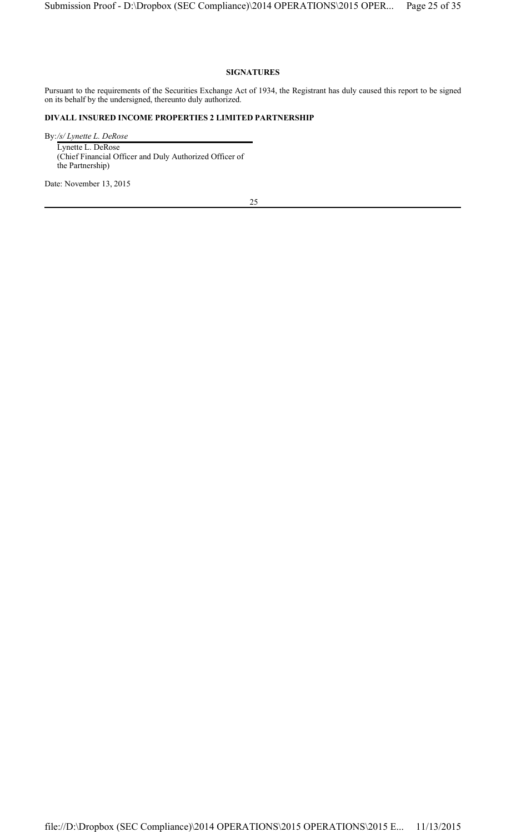# **SIGNATURES**

Pursuant to the requirements of the Securities Exchange Act of 1934, the Registrant has duly caused this report to be signed on its behalf by the undersigned, thereunto duly authorized.

# **DIVALL INSURED INCOME PROPERTIES 2 LIMITED PARTNERSHIP**

By:*/s/ Lynette L. DeRose* Lynette L. DeRose (Chief Financial Officer and Duly Authorized Officer of the Partnership)

Date: November 13, 2015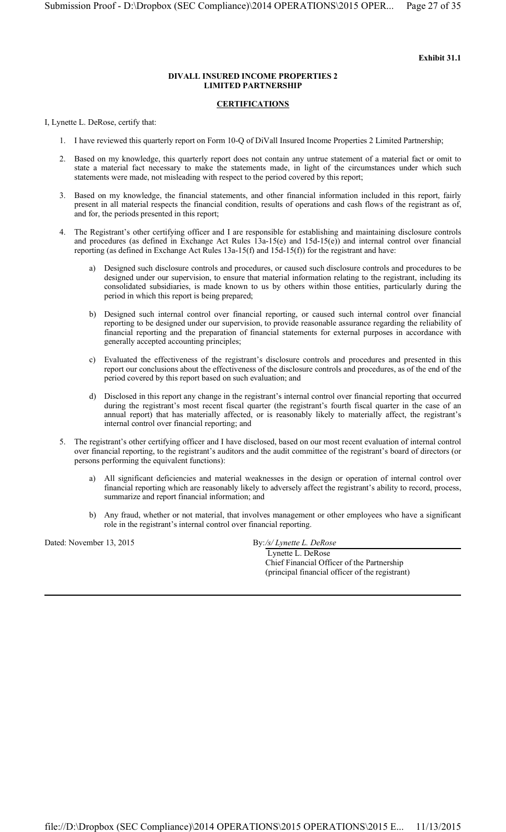#### **DIVALL INSURED INCOME PROPERTIES 2 LIMITED PARTNERSHIP**

# **CERTIFICATIONS**

I, Lynette L. DeRose, certify that:

- 1. I have reviewed this quarterly report on Form 10-Q of DiVall Insured Income Properties 2 Limited Partnership;
- 2. Based on my knowledge, this quarterly report does not contain any untrue statement of a material fact or omit to state a material fact necessary to make the statements made, in light of the circumstances under which such statements were made, not misleading with respect to the period covered by this report;
- 3. Based on my knowledge, the financial statements, and other financial information included in this report, fairly present in all material respects the financial condition, results of operations and cash flows of the registrant as of, and for, the periods presented in this report;
- 4. The Registrant's other certifying officer and I are responsible for establishing and maintaining disclosure controls and procedures (as defined in Exchange Act Rules 13a-15(e) and 15d-15(e)) and internal control over financial reporting (as defined in Exchange Act Rules 13a-15(f) and 15d-15(f)) for the registrant and have:
	- Designed such disclosure controls and procedures, or caused such disclosure controls and procedures to be designed under our supervision, to ensure that material information relating to the registrant, including its consolidated subsidiaries, is made known to us by others within those entities, particularly during the period in which this report is being prepared;
	- b) Designed such internal control over financial reporting, or caused such internal control over financial reporting to be designed under our supervision, to provide reasonable assurance regarding the reliability of financial reporting and the preparation of financial statements for external purposes in accordance with generally accepted accounting principles;
	- c) Evaluated the effectiveness of the registrant's disclosure controls and procedures and presented in this report our conclusions about the effectiveness of the disclosure controls and procedures, as of the end of the period covered by this report based on such evaluation; and
	- d) Disclosed in this report any change in the registrant's internal control over financial reporting that occurred during the registrant's most recent fiscal quarter (the registrant's fourth fiscal quarter in the case of an annual report) that has materially affected, or is reasonably likely to materially affect, the registrant's internal control over financial reporting; and
- 5. The registrant's other certifying officer and I have disclosed, based on our most recent evaluation of internal control over financial reporting, to the registrant's auditors and the audit committee of the registrant's board of directors (or persons performing the equivalent functions):
	- a) All significant deficiencies and material weaknesses in the design or operation of internal control over financial reporting which are reasonably likely to adversely affect the registrant's ability to record, process, summarize and report financial information; and
	- b) Any fraud, whether or not material, that involves management or other employees who have a significant role in the registrant's internal control over financial reporting.

Dated: November 13, 2015 By:/s/ Lynette L. DeRose

 Lynette L. DeRose Chief Financial Officer of the Partnership (principal financial officer of the registrant)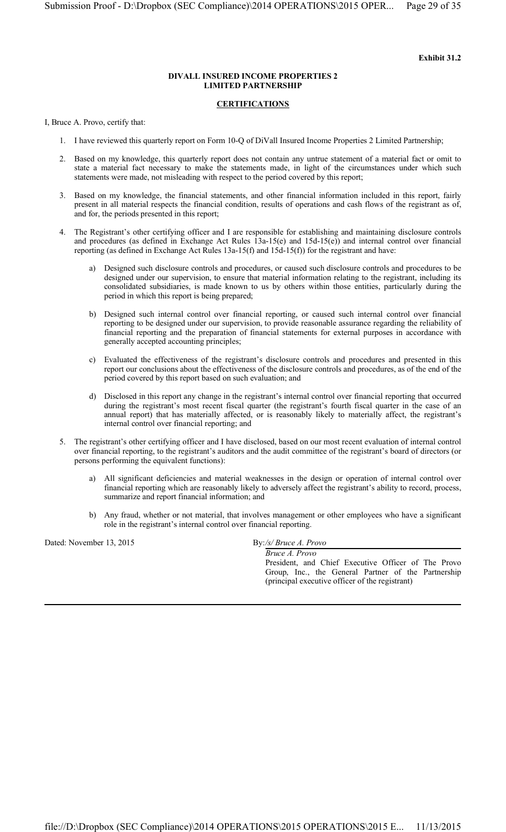#### **DIVALL INSURED INCOME PROPERTIES 2 LIMITED PARTNERSHIP**

# **CERTIFICATIONS**

I, Bruce A. Provo, certify that:

- 1. I have reviewed this quarterly report on Form 10-Q of DiVall Insured Income Properties 2 Limited Partnership;
- 2. Based on my knowledge, this quarterly report does not contain any untrue statement of a material fact or omit to state a material fact necessary to make the statements made, in light of the circumstances under which such statements were made, not misleading with respect to the period covered by this report;
- 3. Based on my knowledge, the financial statements, and other financial information included in this report, fairly present in all material respects the financial condition, results of operations and cash flows of the registrant as of, and for, the periods presented in this report;
- 4. The Registrant's other certifying officer and I are responsible for establishing and maintaining disclosure controls and procedures (as defined in Exchange Act Rules 13a-15(e) and 15d-15(e)) and internal control over financial reporting (as defined in Exchange Act Rules 13a-15(f) and 15d-15(f)) for the registrant and have:
	- Designed such disclosure controls and procedures, or caused such disclosure controls and procedures to be designed under our supervision, to ensure that material information relating to the registrant, including its consolidated subsidiaries, is made known to us by others within those entities, particularly during the period in which this report is being prepared;
	- b) Designed such internal control over financial reporting, or caused such internal control over financial reporting to be designed under our supervision, to provide reasonable assurance regarding the reliability of financial reporting and the preparation of financial statements for external purposes in accordance with generally accepted accounting principles;
	- c) Evaluated the effectiveness of the registrant's disclosure controls and procedures and presented in this report our conclusions about the effectiveness of the disclosure controls and procedures, as of the end of the period covered by this report based on such evaluation; and
	- d) Disclosed in this report any change in the registrant's internal control over financial reporting that occurred during the registrant's most recent fiscal quarter (the registrant's fourth fiscal quarter in the case of an annual report) that has materially affected, or is reasonably likely to materially affect, the registrant's internal control over financial reporting; and
- 5. The registrant's other certifying officer and I have disclosed, based on our most recent evaluation of internal control over financial reporting, to the registrant's auditors and the audit committee of the registrant's board of directors (or persons performing the equivalent functions):
	- a) All significant deficiencies and material weaknesses in the design or operation of internal control over financial reporting which are reasonably likely to adversely affect the registrant's ability to record, process, summarize and report financial information; and
	- b) Any fraud, whether or not material, that involves management or other employees who have a significant role in the registrant's internal control over financial reporting.

Dated: November 13, 2015 By:/s/ Bruce A. Provo

*Bruce A. Provo* President, and Chief Executive Officer of The Provo Group, Inc., the General Partner of the Partnership (principal executive officer of the registrant)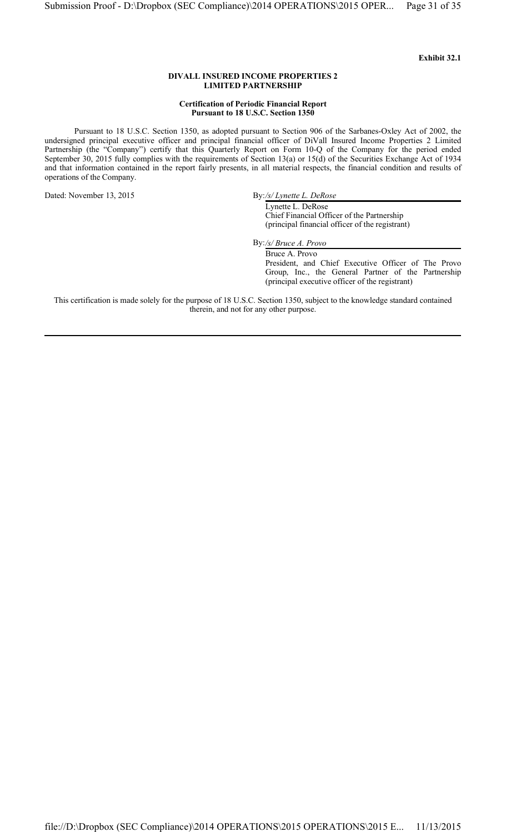#### **DIVALL INSURED INCOME PROPERTIES 2 LIMITED PARTNERSHIP**

#### **Certification of Periodic Financial Report Pursuant to 18 U.S.C. Section 1350**

Pursuant to 18 U.S.C. Section 1350, as adopted pursuant to Section 906 of the Sarbanes-Oxley Act of 2002, the undersigned principal executive officer and principal financial officer of DiVall Insured Income Properties 2 Limited Partnership (the "Company") certify that this Quarterly Report on Form 10-Q of the Company for the period ended September 30, 2015 fully complies with the requirements of Section 13(a) or 15(d) of the Securities Exchange Act of 1934 and that information contained in the report fairly presents, in all material respects, the financial condition and results of operations of the Company.

Dated: November 13, 2015 By:/s/ Lynette L. DeRose

Lynette L. DeRose Chief Financial Officer of the Partnership (principal financial officer of the registrant)

By:*/s/ Bruce A. Provo*

Bruce A. Provo President, and Chief Executive Officer of The Provo Group, Inc., the General Partner of the Partnership (principal executive officer of the registrant)

This certification is made solely for the purpose of 18 U.S.C. Section 1350, subject to the knowledge standard contained therein, and not for any other purpose.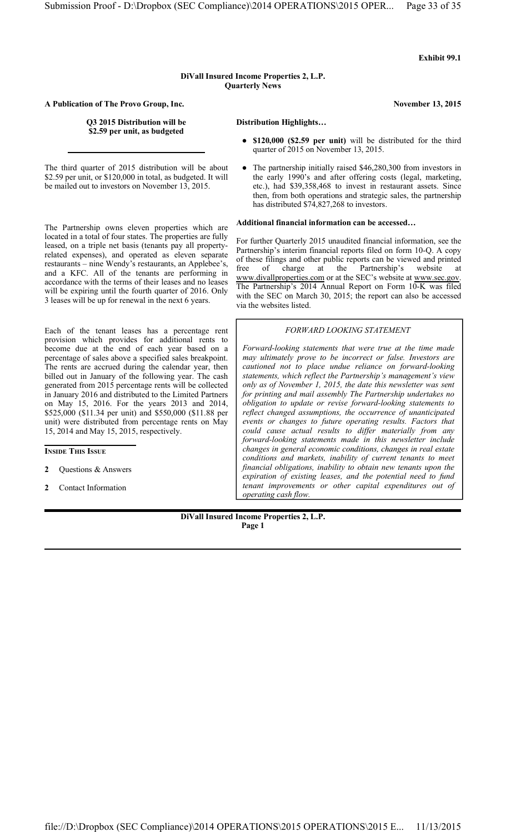# **DiVall Insured Income Properties 2, L.P. Quarterly News**

**A Publication of The Provo Group, Inc. November 13, 2015**

#### **Q3 2015 Distribution will be Distribution Highlights… \$2.59 per unit, as budgeted**

The third quarter of 2015 distribution will be about \$2.59 per unit, or \$120,000 in total, as budgeted. It will be mailed out to investors on November 13, 2015.

The Partnership owns eleven properties which are located in a total of four states. The properties are fully leased, on a triple net basis (tenants pay all propertyrelated expenses), and operated as eleven separate restaurants – nine Wendy's restaurants, an Applebee's, and a KFC. All of the tenants are performing in accordance with the terms of their leases and no leases will be expiring until the fourth quarter of 2016. Only 3 leases will be up for renewal in the next 6 years.

Each of the tenant leases has a percentage rent provision which provides for additional rents to become due at the end of each year based on a percentage of sales above a specified sales breakpoint. The rents are accrued during the calendar year, then billed out in January of the following year. The cash generated from 2015 percentage rents will be collected in January 2016 and distributed to the Limited Partners on May 15, 2016. For the years 2013 and 2014, \$525,000 (\$11.34 per unit) and \$550,000 (\$11.88 per unit) were distributed from percentage rents on May 15, 2014 and May 15, 2015, respectively.

# **INSIDE THIS ISSUE**

- **2** Questions & Answers
- **2** Contact Information

- **\$120,000 (\$2.59 per unit)** will be distributed for the third quarter of 2015 on November 13, 2015.
- The partnership initially raised \$46,280,300 from investors in the early 1990's and after offering costs (legal, marketing, etc.), had \$39,358,468 to invest in restaurant assets. Since then, from both operations and strategic sales, the partnership has distributed \$74,827,268 to investors.

#### **Additional financial information can be accessed…**

For further Quarterly 2015 unaudited financial information, see the Partnership's interim financial reports filed on form 10-Q. A copy of these filings and other public reports can be viewed and printed<br>free of charge at the Partnership's website at free of charge at the Partnership's website at www.divallproperties.com or at the SEC's website at www.sec.gov. The Partnership's 2014 Annual Report on Form 10-K was filed with the SEC on March 30, 2015; the report can also be accessed via the websites listed.

#### *FORWARD LOOKING STATEMENT*

*Forward-looking statements that were true at the time made may ultimately prove to be incorrect or false. Investors are cautioned not to place undue reliance on forward-looking statements, which reflect the Partnership's management's view only as of November 1, 2015, the date this newsletter was sent for printing and mail assembly The Partnership undertakes no obligation to update or revise forward-looking statements to reflect changed assumptions, the occurrence of unanticipated events or changes to future operating results. Factors that could cause actual results to differ materially from any forward-looking statements made in this newsletter include changes in general economic conditions, changes in real estate conditions and markets, inability of current tenants to meet financial obligations, inability to obtain new tenants upon the expiration of existing leases, and the potential need to fund tenant improvements or other capital expenditures out of operating cash flow.*

**DiVall Insured Income Properties 2, L.P. Page 1**